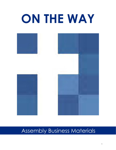

# Assembly Business Materials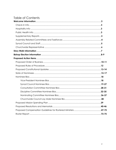# **Table of Contents**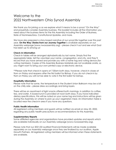# Welcome to the 2022 Northwestern Ohio Synod Assembly

We thank you for joining us as we explore what it means to be a synod "On the Way" and prayerfully consider Assembly business. This booklet includes all the information you need about the business items for the this Assembly including the Order of Business, Slate of Nominees/bios, Constitutional Updates, and more.

We have also prepared a story-based narrative of our synod life together over this past year. **On the Way: Stories from our Journey Together** is available separately on our Assembly webpage [www.nwosassembly.org] – please check it out and see what God has been up to among us!

#### **Check-In Information**

Check-in tables will be arranged alphabetically by last name. Simply find the appropriate table, tell the volunteer your name, congregation, and city, and they'll record that you have arrived and provide you with a name tag and voting device (for voting members). Copies of this Assembly Business Materials are not available onsite, so you might want to bring your own printed copy or electronic device.

\*\*Please note that check-in opens at 7:30am both days, however, check-in closes at 9am on Friday and reopens after the first ballot for Bishop. If you do not check-in by 9am on Friday you will not be able to vote in the first ballot for bishop.

#### **Hospitality Information**

Please note that for some, the temperature in the Student Union Ballroom may be a bit on the chilly side – please dress accordingly and bring layers.

There will be an assortment of light snacks offered both mornings, in addition to coffee, tea, and water. A boxed lunch is provided at noon both days. If you have indicated dietary specifications, this will be noted on your name tag and instructions will be given during the Assembly on where to pick up your vegetarian meal. An Information Table is located near the check-in area if you have any questions.

#### **Public Health Information**

All registered voting members and guests will be notified via email on May 20, 2022, regarding any public health precautions or recommendations for this Assembly.

#### **Supplementary Reports**

Some affiliated agencies and organizations have provided updates and reports which are available individually on our Assembly webpage [www.nwosassembly.org].

Please note that our 2021/22 audited Financial Statements will be made available separately on our Assembly webpage once they are finalized by our auditors, Apple Growth Partners. All registered voting members will be informed when these statements are available.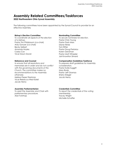# **Assembly Related Committees/Taskforces**

#### **2022 Northwestern Ohio Synod Assembly**

The following committees have been appointed by the Synod Council to provide for an effective Assembly

#### **Bishop's Election Committee**

*To coordinate all aspects of the election of a bishop.*  Pastor Tim Philabaum (co-chair) Ardy Gonyer (co-chair) Becky Seibert Amanda Hoyles Casey Cox Vicar Dawn David

#### **Reference and Counsel**

*to ensure that all resolutions and memorials are in order and do not conflict with the governing documents of this Church. The committee makes no recommendations to the Assembly otherwise.* Melissa Peper Firestone Vicar Rebecca West-Estell Jacob Henry

#### **Assembly Parliamentarian**

*To assist the Assembly and Chair with parliamentary procedure.*  Alan Fuhrhop

#### **Nominating Committee**

*To secure nominees for election.*  Pastor Chris Young Pastor Doris Mars Diane Ninke Tom Ritter Pastor Doug Pretorius Karen Genzman Pastor Matt Wheeler Jari Knowlton Simard

#### **Compensation Guidelines Taskforce**

*To prepare draft guidelines for Assembly consideration.*  Pastor Katie Suggitt Mary Boals Pastor Jeff Gramza Sherry Krieger Jacob Henry

#### **Credentials Committee**

*To report the credentials of the voting membership.* Tracey Wright Michelle Schaffer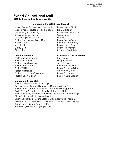# **Synod Council and Staff**

#### **2022 Northwestern Ohio Synod Assembly**

#### **Members of the 2022 Synod Council**

Bishop Daniel G. Beaudoin, President Melissa Peper Firestone, Vice-President Tracey Wright, Secretary Shea McGrew, Treasurer Tom Ritter (Exec. Comm.) Pastor Chris Hanley (Exec. Comm.) Wendy Bauer Mary Boals Casey Cox Clark Price

Pastor Mindy Elliott Brent Gardner Pastor Melanie Haack Cindy Harris Deb Noll Pastor Robin Owen Pastor Steve Ramsey Pastor Jarrod Schaaf Michelle Schaffer Rodney West-Estelle

#### **Conference Deans**

Pastor Janine Schearer Pastor Mindy Elliott Pastor Adam Sornchai Pastor Steve Bauerle Pastor Will Haggis Pastor Will Stenke Pastor Stacy Lauer-Scovanner Pastor Shawn O'Brien

#### **Conference Call Facilitators**

Mary Boals Mary Satterfield Jean Emery Pastor Henry Seibert Pastor Christian Dittmar Vicar Ryan Cordle Pastor Ed Hunker Pastor Alvera Brandt

#### **Members of Synod Staff**

Pastor Daniel G. Beaudoin, Bishop Deacon Sherry Krieger, Director for Congregational Care Pastor Sarah Schaaf, Director for Community Engagement Calla Gilson, Coordinator of the Discipleship Institute Jennifer Prueter, Executive Administrative Assistant to the Bishop Diane Stultz, Administrative Assistant Cheryl Sondergeld, Coordinator of Candidacy and Programs Caroline Guy, Coordinator of Communications and Technology Jacob Henry, Synod Administrator Brent Gnagey, Technology Specialist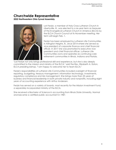# **Churchwide Representative**

**2022 Northwestern Ohio Synod Assembly**



Lori Fedyk, a member of Holy Cross Lutheran Church in Libertyville, Ill., was elected to a six-year term as treasurer of the Evangelical Lutheran Church in America (ELCA) by the ELCA Church Council at its November meeting. Her term will begin Feb. 1.

Fedyk has been employed by Lutheran Life Communities in Arlington Heights, Ill., since 2014 where she served as vice president of corporate finance and chief financial officer. In 2017 she was promoted to executive vice president and chief financial officer. Lutheran Life Communities owns and operates six continuing-care retirement communities in Illinois, Indiana and Florida.

"Lori Fedyk not only brings professional skill and experience, but she is also deeply committed to the mission and ministry of the ELCA," said the Rev. Elizabeth A. Eaton, ELCA presiding bishop. "I am happy to welcome her to team ELCA."

Fedyk's responsibilities at Lutheran Life Communities included oversight of financial reporting, budgeting, treasury management, information technology, investments, regulatory compliance and risk management. She brings more than 25 years of business and financial leadership in both private industry and nonprofits, including eight years of accounting experience with Arthur Andersen.

Fedyk has served on a variety of boards, most recently for the Mission Investment Fund, a separately incorporated ministry of the ELCA.

She received a Bachelor of Science in accounting from Illinois State University, Normal and became a certified public accountant in 1987.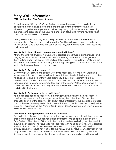### **Story Walk Information 2022 Northwestern Ohio Synod Assembly**

As we join Jesus "On the Way", we find ourselves walking alongside two disciples, people who are weighed down and disheartened by the events they have just witnessed. Together we experience their journey; Longing for what was, experiencing the grace and presence of the Crucified and Risen Jesus, and running towards what could be, hope-filled and renewed.

Through a series of four Story Walks, we join the disciples on the walk to Emmaus to uncover where God is present and where the Spirit is guiding us. Join us as we hear stories, discern God's call, and join Jesus on the way, for the renewal of northwest Ohio and the world.

#### **Story Walk 1: "Jesus himself came near and went with them"**

After witnessing the crucifixion of Jesus, the disciples are confused, disheartened, and longing for hope. As two of these disciples are walking to Emmaus, a stranger joins them, asking about the events that had just taken place. In this first Story Walk, we join the journey of these disciples, learning that through telling our story, we help each other realize that Jesus walks with us on the way.

#### **Story Walk 2: "But we had hoped…"**

Continuing our walk with the disciples, we try to make sense of the story. Explaining recent events to this stranger who is walking with them, the disciples lament all that they had hoped for and all that they were promised. This Jesus of Nazareth who they believed would redeem them was instead crucified, and now his tomb is empty. Why is spending time with our grief an important part of the journey? How is God present in this part of our story? In this second Story Walk we take time to sit at the foot of the cross and dwell in the lament.

#### **Story Walk 3: "So he went in to stay with them"**

As the disciples conclude their story, the stranger walking with them invites them to consider the larger story. The stranger begins telling them the story of Moses, the prophets, and what the scriptures say about Jesus of Nazareth. The disciples, enthralled in what this man is saying, invite him to stay with them. In this third Story Walk we join the disciples in experiencing the Word of God through Jesus' presence, and we invite Jesus to be with us on our journey.

#### **Story Walk 4: "They got up and returned to Jerusalem"**

Accepting the disciples' invitation to stay, the stranger joins them at the table, breaking bread and blessing it. A sudden realization overcomes the disciples: This man is the Crucified and Risen Jesus of Nazareth, the one they've been grieving and the Messiah they've been seeking. As Jesus exits, they are filled with hope and wonder, the disciples run back towards the place they were coming from, all thoughts of their previous journey gone. They could not wait to tell the story. As we conclude our walk through the story of the Road to Emmaus, we explore how we have been renewed by the Holy Spirit, and how this renewal might change our lives, our communities, and the world.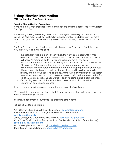# **Bishop Election Information**

**2022 Northwestern Ohio Synod Assembly**

#### **From the Bishop Election Committee:**

In the name of Christ, greetings to the congregations and members of the Northwestern Ohio Synod, ELCA!

We will be gathering in Bowling Green, OH for our Synod Assembly on June 3-4, 2022. During this Assembly we will be involved in business, worship, and discussion (for more information go to the Synod Website.) We also will be electing a Bishop for the next 6 years.

Our Task Force will be leading the process in this election. There are a few things we would like you to know at this point:

- The first ballot will be a blank one in which the Voting Members write in their selection of a member of the Word and Sacrament Roster of the ELCA to serve as Bishop. All members on this Roster are eligible to run on this ballot.
- There are members on this Roster who might be discerning the call to serve in the Office of the Bishop, and others who are being encouraged to such discernment. This Task Force has decided to not develop a pre-election process this year, since that process works well when the Synod has a Bishop who is retiring, and a new Bishop is to be called. At this Assembly members of the Roster may either be nominated by Voting Members or nominate themselves on the first Ballot. As you may know, Bishop Daniel is open to being called again as Bishop.
- Only Voting Members at this Assembly will be able to participate in the Nomination and Election process.

If you have any questions, please contact one of us on the Task Force.

We also ask that you keep this Assembly, this process, and our Bishop in your prayers as we trust in the Holy Spirit's work.

Blessings, as together we journey to the cross and empty tomb!

The Bishop Election Task Force:

Ardy Gonyer, Chair (St. Mark's, Bowling Green), [gonyerh@gmail.com](mailto:gonyerh@gmail.com) Pastor Tim Philabaum, Co-Chair (Interim Bethlehem, Pemberville), [tphilabaum@hotmail.com](mailto:tphilabaum@hotmail.com)

Casey Cox (Synod Council and First, Findlay), [caseycox72@gmail.com](mailto:caseycox72@gmail.com) Vicar Dawn David (SAM Sonfire by the River, Pemberville and Salem Grace, Luckey), [dawn.e.david19@gmail.com](mailto:dawn.e.david19@gmail.com)

Amanda Hoyles (Zoar, Perrysburg), [ahoyles@zoarlutheran.com](mailto:ahoyles@zoarlutheran.com) Becky Seibert (Grace, Fremont), [beckyseibert0@gmail.com](mailto:beckyseibert0@gmail.com)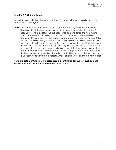#### **From the NWOS Constitution:**

The following constitutional provision outlines the process for electing a bishop in the Northwestern Ohio Synod:

**S9.04.** The bishop shall be elected by the Synod Assembly by ecclesiastical ballot. Three-fourths of the legal votes cast shall be necessary for election on the first ballot. If no one is elected, the first ballot shall be considered the nominating ballot. Three-fourths of the legal votes cast on the second ballot shall be necessary for election. The third ballot shall be limited to the seven persons (plus ties) who received the greatest number of legal votes on the second ballot, and two-thirds of the legal votes cast shall be necessary for election. The fourth ballot shall be limited to the three persons (plus ties) who receive the greatest number of legal votes on the third ballot, and 60 percent of the legal votes cast shall be necessary for election. On subsequent ballots a majority of the legal votes cast shall be necessary for election. These ballots shall be limited to the two persons (plus ties) who receive the greatest number of legal votes on the previous ballot.

*\*\*\*Please note that Check-In will close promptly at 9am Friday June 3, 2022 and will reopen after the conclusion of the first ballot for bishop. \*\*\**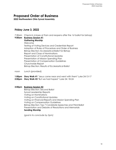# **Proposed Order of Business**

**2022 Northwestern Ohio Synod Assembly** 

### **Friday June 3, 2022**

7:30am Check-In (closes at 9am and reopens after the 1st ballot for bishop)

**9:00am Business Session #1**

#### **Gathering Worship**

Welcome

Testing of Voting Devices and Credentials Report Adoption of Rules of Procedure and Order of Business Bishop Election: Ecclesiastical Ballot for Bishop Report and Close of Nominations Presentation of Constitutional Updates Presentation of Mission Spending Plan Presentation of Compensation Guidelines Churchwide Report Bishop Election: Results of Ecclesiastical Ballot

- noon Lunch (provided)
- **1:00pm Story Walk #1** "Jesus came near and went with them" Luke 24:13-17
- **2:00pm Story Walk #2** "But we had hoped " Luke 24: 18-24

#### **3:00pm Business Session #2**

Bishop Election: Second Ballot Synod Leadership Reports Voting on Nominations Voting on Constitutional Updates Voting on Financial Reports and Mission Spending Plan Voting on Compensation Guidelines Bishop Election: Top 7 Candidate Speeches and Third Ballot Presentation and Debate of Resolutions and Memorials **Sending Worship**

*(goal is to conclude by 5pm)*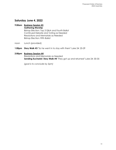### **Saturday June 4, 2022**

### **9:00am Business Session #3**

**Gathering Worship**

Bishop Election: Top 3 Q&A and Fourth Ballot Continued Debate and Voting as Needed Resolutions and Memorials as Needed Bishop Election: Fifth Ballot

- noon Lunch (provided)
- **1:00pm Story Walk #3** "So he went in to stay with them" Luke 24: 25-29

#### **2:00pm Business Session #4**

Resolutions and Memorials as Needed **Sending Eucharist/ Story Walk #4** "They got up and returned" Luke 24: 30-35 Proposed Order of Business<br>2022 Assembly<br>2022 Assembly<br>d'' Luke 24: 30-35

*(goal is to conclude by 5pm)*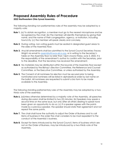# **Proposed Assembly Rules of Procedure**

**2022 Northwestern Ohio Synod Assembly**

The following standing non-parliamentary rules of the assembly may be adopted by a majority vote:

- **Rule 1.** (a) To obtain recognition, a member must go to the nearest microphone and be recognized by the chair; (b) The member will identify themselves by giving their name, and the name of their congregation, agency, or institution, including town/city; (c) the member will speak clearly and concisely.
- **Rule 2.** During voting, non-voting guests must be seated in designated guest areas to the sides of the Assembly floor.
- **Rule 3.** Any/all amendments shall be submitted to the Synod Council Secretary Tracey Wright via email to [assembly@nwos-elca.org,](mailto:assembly@nwos-elca.org) or in writing to the Secretary's Table on the Assembly floor no later than 12pm (noon) Friday June 3, 2022. It is the responsibility of the amendment's author to confirm with the Secretary, prior to the deadline, that the Secretary has received the amendment.
- **Rule 4.** No materials may be distributed within the bounds of the Assembly floor except as authorized by the Bishop's Election Committee, the Reference and Counsel Committee, or the Executive Committee, or unless authorized by the Assembly.
- **Rule 5.** The Consent of all nominees for election must be secured prior to being nominated and nominees will be listed in alphabetical order by last name on the ballot. All nominees are requested to submit a bio form to be made available to the Assembly.

The following standing parliamentary rules of the Assembly may be adopted by a twothirds vote of the assembly:

- **Rule 6.** (a)Unless otherwise determined by a majority vote of the Assembly, all speeches during discussion shall be limited to two (2) minutes; (b) Speakers may speak a second time on the same issue, but only after all others desiring to speak have been given an opportunity to do so; (c) If a speaker agrees with the points made by a previous speaker, the speaker should state their agreement and not repeat the same points. Proposed Rules of Procedure<br>
2022 Assembly<br>
2022 Assembly<br>
2022 Assembly<br>
12 Procedure<br>
12 Procedure<br>
12 October 2022 Assembly<br>
12 Drecedary Tracey<br>
14 Brocedure<br>
12 Drecedary<br>
13 Drecedary<br>
13 Procedure<br>
12 Procedure<br>
12
- **Rule 7.** The chair shall have the authority to adjust the Order of Business and to call items of business in the order the chair considers to be most expedient to the conduct of the Assembly's business.
- **Rule 8.** Except for items introduced by the Synod Council, items of business which are not on the Order of Business, may be introduced by a two-thirds vote of the Assembly.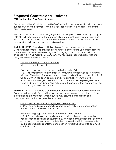# **Proposed Constitutional Updates**

### **2022 Northwestern Ohio Synod Assembly**

The below additions/updates to the NWOS Constitution are proposed to add or update our constitution into alignment with the model constitution for synods set forth by the Churchwide Assembly.

Per S18.12, the below proposed language may be adopted and enacted by a majority vote of the Synod Assembly without presentation at a prior Synod Assembly provided the amendment is identical to language in the model constitution for synods. Once approved, such language takes immediate effect.

**Update #1 – S7.27:** To add a constitutional provision recommended by the Model Constitution for Synods. This provision allows ministers of Word and Sacrament from full communion partners who are serving NWOS congregations both voice and vote privileges in a NWOS Assembly. NWOS currently has several congregations that are being served by non-ELCA ministers.

NWOS Constitution Current Language: [does not currently have it]

Proposed Language (from model constitution) to be Added:

S7.27. This synod may establish processes through the Synod Council to grant a minister of Word and Sacrament from a church body with which a relationship of full communion has been declared and established by the Churchwide Assembly of the Evangelical Lutheran Church in America the privilege of both voice and vote in the Synod Assembly during the period of that minister's service in a congregation of this church. Proposed Constitutional Updates<br>
2022 Assembly<br>
2022 Assembly<br>
2022 Assembly<br>
4 Assembly provided<br>
4 Constant Strategy Constant Strategy<br>
10 Constant Strategy Constant<br>
2011<br>
2011<br>
2012<br>
2013<br>
2013<br>
2013<br>
2013<br>
2014<br>
2015<br>

**Update #2 – S13.25:** To update a constitutional provision recommended by the Model Constitution for Synods. This provision updates language to provide greater detail and clarification to circumstances when a synod may assume administration of a congregation upon the congregations' request.

Current NWOS Constitution Language to be Replaced: S13.25. This synod may temporarily assume administration of a congregation upon its request or with its concurrence.

Proposed Language (from model constitution) to be Added:

S13.25. This synod may temporarily assume administration of a congregation upon its request or with its concurrence. Such synod administration shall continue only so long as necessary to complete the purposes for which it was requested by the congregation or until the congregation withdraws consent to continued administration.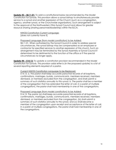**Update #3 – S8.11.01:** To add a constitutional bylaw recommended by the Model Constitution for Synods. This provision allows a synod bishop to simultaneously provide service to a synod and another expression of the Church (such as a congregation, agency, another synod, or the Churchwide organization). Such arrangement is subject to the approval of the Northwestern Ohio Synod Council and allows for greater resource sharing (sharing personnel/leadership) within the ELCA.

NWOS Constitution Current Language: [does not currently have it]

Proposed Language (from model constitution) to be Added: S8.11.01. When authorized by the Synod Council in order to address special circumstances, the synod bishop may be compensated as an employee or contractor for specified services to another expression of this church. Such an arrangement may be terminated by the Synod Assembly or Synod Council if determined to be detrimental to the function of the office or if the special circumstances no longer apply.

**Update #4 – S14.13:** To update a constitution provision recommended in the Model Constitution for Synods. This provision adds letter b (in the proposed update) to a list of several reporting elements required of a pastor.

Current NWOS Constitution Language to be Replaced:

S14.13. a. The pastor shall keep accurate parochial records of all baptisms, confirmations, marriages, burials, communicants, members received, members dismissed, or members excluded from the congregation, and shall submit a summary of such statistics annually to this synod. b. The pastor shall be a member of the congregation that has extended the letter of call. In a parish of multiple congregations, the pastor shall hold membership in one of the congregations.

#### Proposed Language (from model constitution) to be Added:

S14.13. The pastor (a) shall keep accurate parochial records of all baptisms, confirmations, marriages, burials, communicants, members received, members dismissed, or members excluded from the congregation, (b) shall submit a summary of such statistics annually to this synod, and (c) shall become a member of the congregation upon receipt and acceptance of the letter of call. In a parish of multiple congregations, the pastor shall hold membership in one of the congregations. Proposed Constitutional Updates<br>
2022 Assembly<br>
2022 Assembly<br>
led by the Model<br>
multaneously provide<br>
ss a congregation,<br>
carrangement is subject<br>
coms for greater<br>
ss an employee or<br>
ss an employee or<br>
or of synda Counci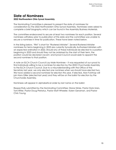### **Slate of Nominees 2022 Northwestern Ohio Synod Assembly**

The Nominating Committee is pleased to present the slate of nominees for consideration by the 2022 Northwestern Ohio Synod Assembly. Nominees were asked to complete a brief biography which can be found in the Assembly Business Materials.

The committee endeavored to secure at least two nominees for each position. Several nominees withdrew prior to publication of this slate and the committee was unable to secure a nominee in time for publication. These have been noted below.

In the listing below, "RM" is short for "Rostered Minister". Several Rostered Minister nominees for terms beginning in 2023 are currently Synodically Authorized Ministers with an expected ordination in 2022. Should any of these individuals be elected to a position beginning in 2023 and should they not be ordained by the start of their term, the position would be declared vacant, and Synod Council would seek to appoint the second nominee to that position.

A note on ELCA Church Council Lay Male Nominee – it was requested of our synod to find individuals willing to be a nominee for election by the 2022 Churchwide Assembly to the ELCA Church Council. Due to a misunderstanding with the Office of the Secretary last year, we only elected one nominee when we should have elected two. We have added a second nominee for election this year. If elected, Alan Fuhrhop will join Hans Giller (elected last year) and they will be on the ballot for election by the Churchwide Assembly.

Nominees will appear in alphabetical order by last name on the ballot.

Respectfully submitted by the Nominating Committee: Diane Ninke, Pastor Doris Mars, Tom Ritter, Pastor Doug Pretorius, Pastor Matt Wheeler, Karen Genzman, and Pastor Chris Young.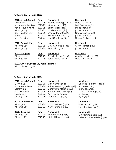### **For Terms Beginning in 2022:**

| 2022: Synod Council       | Term    | Nominee 1                | Nominee 2            |
|---------------------------|---------|--------------------------|----------------------|
| Toledo RM                 | 2022-25 | Brenda Peconge (pg19)    | Nate Tuff (pg20)     |
| Maumee Valley Lay         | 2022-25 | Mary Boals (pg23)        | Kelly Weber (pg22)   |
| Youth/Young Adult         | 2022-25 | Jillian Russell (pg27)   | (none secured)       |
| At Large Lay              | 2022-25 | Cindy Harris (pg21)      | (none secured)       |
| Southwestern Lay          | 2022-25 | Wendy Bauer (pg26)       | Chuck Curry (pg26)   |
| Eastern Lay               | 2022-25 | Michelle Schaffer (pg27) | (none secured)       |
| Vice-President (lay)      | 2022-26 | Noel Cordle (pg18)       | Nancy Yunker (pg18)  |
| <b>2022: Consultation</b> | Term    | Nominee 1                | Nominee 2            |
| At Large Lay              | 2022-28 | David Myerholtz (pg28)   | Glenn Richter (pg29) |
| At Large Lay              | 2022-28 | Mark Hill (pg28)         | (none secured)       |
| 2022: Discipline          | Term    | Nominee 1                | Nominee 2            |
| At Large Lay              | 2022-28 | Brenda Shibler (pg33)    | Amy Schroeder (pg33) |
| At Large RM               | 2022-28 | Jeff Gramza (pg32)       | Doris Mars (pg32)    |

### **ELCA Church Council Lay Male Nominee**

Alan Fuhrhop (pg38)

# **For Terms Beginning in 2023:**

| 2023: Synod Council       | Term    | Nominee 1                   | Nominee 2                   |
|---------------------------|---------|-----------------------------|-----------------------------|
| Central Lay               | 2023-26 | Caitlin Brink (pg23)        | Christine Reasoner (pg22)   |
| Maumee Valley RM          | 2023-26 | Ashley Rosa-Ruggieri (pg19) | (none secured)              |
| Eastern RM                | 2023-26 | Carolyn Steinfeldt (pg20)   | (none secured)              |
| Southeast Lay             | 2023-26 | Steve Ackerman (pg25)       | Jerusha Walker (pg25)       |
| Toledo Lay                | 2023-26 | Kevin Swagler (pg24)        | (withdrew)                  |
| At Large Lay              | 2023-26 | Kathy Jurrus (pg24)         | (withdrew)                  |
| <b>2023: Consultation</b> | Term    | Nominee 1                   | Nominee 2                   |
| At Large RM               | 2023-29 | Carol Pretorius (pg29)      | Robin Small (pg30)          |
| At Large Lay              | 2023-29 | Amy Hoffman (pg30)          | Tenesha Ulrich (pg31)       |
| 2023: Discipline          | Term    | Nominee 1                   | Nominee 2                   |
| At Large Lay              | 2023-29 | Paul Beineke (pg35)         | Milt Pommeranz (pg35)       |
| At Large RM               | 2023-29 | Melodi Hagen (pg34)         | Rebecca West-Estelle (pg34) |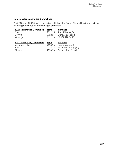### **Nominees for Nominating Committee:**

Per S9.03 and S9.03.01 of the synod constitution, the Synod Council has identified the following nominees for Nominating Committee:

| 2022: Nominating Committee | Term    | <b>Nominee</b>      |
|----------------------------|---------|---------------------|
| Toledo                     | 2022-25 | Tom Ritter (pg36)   |
| Central                    | 2022-25 | Doris Mars (pg32)   |
| At Large                   | 2022-25 | [none secured]      |
|                            |         |                     |
|                            |         |                     |
| 2023: Nominating Committee | Term    | <b>Nominee</b>      |
| Maumee Valley              | 2023-26 | [none secured]      |
| Eastern                    | 2023-26 | Matt Wheeler (pg37) |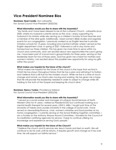### **Vice-President Nominee Bios**

#### **Nominee: Noel Cordle**, Zion Lafayette

For: Synod Council Vice-President (2022/26)

#### **What information would you like to share with the Assembly?**

"My family and I have been blessed to be at Zion Lutheran Church - Lafayette since 2020, where my husband currently serves as the vicar. I enjoy supporting my husband in his ministry while also serving as a children's Sunday School teacher and a member of the altar guild. Additionally, I lead women's Bible studies and organize events for our congregation. I previously worked as an English teacher in private Christian schools for 13 years, including Lima Central Catholic where I served as the English department chair. In spring of 2021 I followed a call to stay home and homeschool our three children. This has given me more time to serve within my church and community, and I am excited about new opportunities the Lord is giving me. I have been part of a local mom's group/ministry for three years, serving on the leadership team for two of those years. God has given me a heart for mothers and women's ministry. I am excited about this possible new opportunity for using my gifts within the synod." Nominee Bios<br>022 Assembly<br>022 Assembly<br>ther and organize<br>ivate d as the<br>nd<br>my dis giving<br>g on the<br>lers and<br>y my gifts<br>nd in o fruition,<br>a hope<br>ile still<br>we at my<br>nmittee. I<br>Nuve at my<br>nmittee. I<br>Ve will<br>we at my<br>nmittee. I

#### **What makes you hopeful for the future of the church?**

**"**What makes me hopeful for the future of the church is the hope that we find in Christ! He has shown throughout history that He has a plan and will bring it to fruition, and I believe that is still true for the modern church. While we live in a time of much change and turmoil, our God is also moving and working. He has given me a hope that He will provide the leadership needed in order to adapt to change while still holding to the truth of the Gospel and keeping His church alive."

### **Nominee: Nancy Yunker**, Providence Holland

For: Synod Council Vice-President (2022/26)

#### **What information would you like to share with the Assembly?**

"I served as a social worker and manager at Lutheran Social Services of North Western Ohio for 41 years. I retired as President/CEO but continued working as a mental health therapist for several years. LISW-S, MBA. I taught part time at The University of Toledo and Lourdes University in the college of social work. I have served on stewardship/finance, choir, women's ministries and food pantries at my home congregation. I currently serving on the Synod Walking Together committee. I am a Trustee on the Anthony Wayne Alumni Committee. I traveled for the Council of Accreditation certifying agencies for service. I hope to continue utilizing my knowledge and experience serving God's people."

#### **What makes you hopeful for the future of the Church?**

"I believe the church and its services are Jesus's hands and feet on earth. We will continue to do his work until he returns. It requires growth and change as it has over time. He will support our faithful service."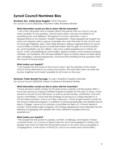#### **Nominee: Rev. Ashley Rosa-Ruggieri**, Trinity Wauseon

For: Synod Council (2023/26), Maumee Valley Rostered Minister

#### **What information would you like to share with the Assembly?**

"I am a first call pastor who is hopeful about the places that our church can go when we listen to one another, care for each other, and are not afraid to try something new and different. Throughout my time in seminary, I was a representative of our Masters' Student Organization. These experiences taught me what can happen when a group of people who want the best for the church and its future get together, plan, and make decisions. Being a representative on synod council offers a similar space of potential where I feel my gifts of communication, joy, and hospitality can be utilized. I also have varied experiences in ministry for youth, multi-cultural/bilingual communities, global contexts, and outdoor/camping ministries. My familiarity with all these different types of ministry allows for fresh ideas, new strategies, a broad perspective, and innovative thinking for the questions that the church is facing today." Nominee Bios<br>022 Assembly<br>022 Assembly<br>19 Or Comping<br>19 Notare Content<br>19 Notare Comping<br>19 Notare for the Durses for<br>19 Notare for<br>19 Notare for<br>19 Notare for<br>19 Notare for<br>19 Notare for<br>19 Notare for<br>19 Notare for<br>19 Not

#### **What makes you hopeful?**

"I am hopeful for the future of the church when I see the diversity of the whole Church body reflected in our words and actions. We work best when we take the journey together and make it possible for all to join on the way."

**Nominee: Pastor Brenda Peconge**, St Luke's Hospital Chaplain Maumee For: Synod Council (2022/25) Toledo Conference Rostered Minister

#### **What information would you like to share with the Assembly?**

"I have served in parish ministry for 25 years (most currently until December 2021). I have also served as a Board Certified Hospital Chaplain for the past 10 years. I have served on Synod Council (SE Iowa), as well as synod worship, constitution, and antiracism committees. I have had the privilege of serving as a voting member to a Churchwide Assembly, and as an intern supervisor. I have taught several courses for the Synod's Diakonia program, in addition to teaching Spirituality and Healthcare for Mercy College. I serve on an advisory committee for Mercy St. Vincent Medical Center's Clinical Education program. All of these experiences have afforded me the blessing of engaging with people with many different backgrounds and experiences."

#### **What makes you hopeful?**

"The Gospel has the power to surprise, comfort, challenge, and inspire! In these uncertain times, it is a source of great hope for me to be engaged in ministry with people who want to make this Good News known in as many ways as possible in congregations, in the synod, in the ELCA, and in our homes and communities."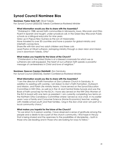#### **Nominee: Pastor Nate Tuff**, Olivet Toledo

For: Synod Council (2022/25) Toledo Conference Rostered Minister

#### **What information would you like to share with the Assembly?**

"Ordained in 1988, served faith communities in Minnesota, Iowa, Wisconsin and Ohio Fluent in Spanish and taught, under synodical call, in the Green Bay Wisconsin Public schools as a bilingual educator for nine years

Grew up in Papua New Guinea as the son of missionaries

Have traveled to over 30 countries and have a passion for global ministry and interfaith connections

Share life with Kim and two adult children and three cats

Lead Pastor at Olivet Lutheran, reshaping ministry through a clear vision and mission Live in downtown Toledo, Ohio"

#### **What makes you hopeful for the future of the Church?**

"Christendom in the United States is at a blessed crossroads for which we as Lutherans are well equipped. The heart of our Lutheran faith speaks a powerful message of centeredness in Christ and love of neighbor."

#### **Nominee: Deacon Carolyn Steinfeldt**, Zion Sandusky

For: Synod Council (2023/26), Eastern Conference Rostered Minister

#### **What information would you like to share with the Assembly?**

"I am the director of Faith Formation at Zion Lutheran Church in Sandusky. In addition to assisting with worship, I am liaison to Zion's Faith Formation, Outreach and Mission, and Parish Life ministry teams. I have served on the Synod Education Committee in NW Ohio, as well as in the I-K and Central States Synods and was the Book of Faith synod rep for the ELCA. I have also served on the NW Ohio Women of the ELCA board with one term as president. I am currently completing two terms on the Northern Ohio Candidacy Committee where I served as vice-chair. In my earlier years I was a Family and Consumer Science (Home Economics) teacher, working with middle school youth and their families. I sing in the Zion choir and I am part of a local community chorus." 20 Nominee Bios

#### **What makes you hopeful for the future of the Church?**

"As we return to in-person worship, I have observed a sense of gratitude among the people and a desire to be a part of the church community. I find hope in the joy that is being shared and the openness to the possibilities of discipleship – both in those who are leading and in those who are looking for ways to follow."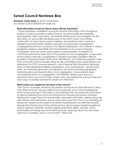**Nominee: Cindy Harris**, St John's Cardington For: Synod Council (2022/25) At Large Lay

#### **What information would you like to share with the Assembly?**

"I have prayerfully considered running for another three years in this at-large lay position in order to provide my gifts in service. My spiritual gifts are hospitality, administration, faith, and mercy., My fivefold ministry result was evangelist. For the year 2022, my service gifts are being used on the OLFC review Committee, continuation of Zoom and in person meeting, and whatever other capacity is needed to promote better relations between our Synod and congregations. Congregational service is a priority in my dental assisting life. I am currently in various leadership positions: Lead Elder and Vice-President of our council, Property Chairperson, and one of the many assistant worship leaders., At present my community service has been tied to the outreach of our congregation. In past years some positions held are: congregation's Christian Education president, WELCA president, Equipping Ministry team chair, VBS Director, and Christmas program chair. Past community service includes: Relay for Life committee chair, board leader and participant for CSP-2 (cancer research), and A Special Wish Foundation (granting wishes to life-threatened children) as president, vice, and treasurer – served many years. As a Diakonia graduate I am blessed to be a part of exciting discipleship mentoring plans and opportunities in my congregation. I have recently been commissioned from our congregation's first Stephen Ministry class! This is an important time in our church history where many are seeking the one true God and are hungry to worship and feel His presence in their lives." Nominee Bios<br>022 Assembly<br>022 Assembly<br>522 Assembly<br>522 Assembly<br>522 Assembly<br>525<br>CA<br>2001 CA<br>CA<br>CA<br>CA<br>CA<br>CA<br>52 CA<br>52<br>CA<br>52<br>2001 CA<br>52<br>2001 CA<br>52<br>2001 CA<br>52<br>2001 News<br>2005<br>2001 News<br>2005<br>2001 News<br>2005<br>2001 News<br>2005<br>2001 M

#### **What makes you hopeful for the future of the Church?**

"The Church as people will always be present as long as we share the love of Jesus with others we know. We are called to love everyone, which means looking past what we see and hear to the heart of the individual. We can share the Good News of Jesus by listening and communicating His love through real actions of prayer, feeding the hungry (food and emotionally), education of life skills, walking along the side of those who are hurting, and so many more ways! The Church as a building will always be needed as the supply hub where its participants can refill their buckets through the intimate love of the worship service, get and keep needed supplies for various outreach ministries, receive ongoing education (Bible, doctrine, home practicalities of sharing Jesus and faith practices), teaching about the why-whenwhat-how of worship, and so much more!" Psalm 25:5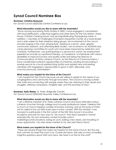#### **Nominee: Christine Reasoner**

For: Synod Council (2023/26) Central Conference Lay

#### **What information would you like to share with the Assembly?**

"Since moving and joining Trinity Findlay in 2020, I have engaged in volunteerism with food distributions, collecting hygiene and other items for the City Mission, Hope House, Christian Clearing House, and serving/distributing Thanksgiving meals. In addition, I volunteer at Challenged Champions Equestrian Center as a horse leader and a side walker for their adaptive riding groups. My involvement at the church includes singing in the choir, playing flute, assisting as a lector, usher, greeter, communion assistant, and attending Bible studies. I am involved in an ADAMHS day camp planning committee for youth who have been impacted by addiction and overdose. Furthermore, I am participating in a second ILA cohort. My employment experiences include occupational therapy, on horseback, to individuals with various disabilities to improve function and quality of life and being the Director of Communications at Trinity Lutheran Church. As the Director of Communications, I have coordinated outreach opportunities of Christmas caroling and providing a worship service for a local assisted living facility and assisted new and existing members with engaging in opportunities to grow in faith, fellowship, and church/community volunteerism." Nominee Bios<br>022 Assembly<br>022 Assembly<br>102 Assembly<br>102 Assembly<br>102 Assembly<br>102 Islam<br>102 Assembly<br>102 Assemand<br>102 Assemand<br>102 Assemand<br>102 Assemand<br>102 Assemand<br>102 Assemand<br>102 Assemand<br>102 Assemand<br>102 Assemand<br>102

#### **What makes you hopeful for the future of the Church?**

"I am hopeful for the Church because we are willing to adapt to the needs of our congregations and community through innovation. The Church is moving outside their walls and connecting with people where they are, listening to their needs and struggles, offering compassion, tangible help, and the promises of God."

#### **Nominee: Kelly Weber**, St. Peter, Ridgeville Corners

For: Synod Council (2022/25) Maumee Valley Conference Lay

#### **What information would you like to share with the Assembly?**

"I am a lifetime member of St. Peter Lutheran Church and have attended various Lutheran churches through college and my early professional career. I believe that so much of church happens outside of Sunday morning, and as the body of Christ, we're called to live our faith every day in every context. With this mindset, I was honored to participate in the first cohort of the NW Ohio Synod's Innovative Academy and look for new ways to "do church" that reach people in normal everyday life. My own everyday context includes work in marketing/communications, being an aunt, baking a few treats, and traveling at every opportunity, I am also newly married to my very best friend, Dave."

#### **What makes you hopeful for the future of the Church?**

"There are several things that make me hopeful for the future Church. But the one that catches my heart the most is my 12-year-old niece. She asks so many incredibly insightful questions about faith and Jesus. Her heart is on fire for the Lord!"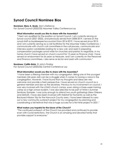**Nominee: Mary A. Boals**, Zion's Defiance

For: Synod Council (2022/25) Maumee Valley Conference Lay

#### **What information would you like to share with the Assembly?**

"I feel I am qualified for the position on Synod Council. I am currently serving on Synod council (2021-2022), and previously served from 2008-2019. I served on the synod staff as bookkeeper/accountant from 2014-2019. I have served since 2013, and I am currently serving as a call facilitator for the Maumee Valley Conference. I communicate with church call committees in the call process, communicate and interview pastor candidates looking for a new call, and assist in preparing compensation packages synod wide for churches and pastors to negotiate. In my home church I have served on church council for 12 years as Finance chair. I have served on endowment for six years as treasurer, and I am currently on the Personnel and Finance committees. I also serve as lector and assist with communion."

#### **Nominee: Caitlin Brink,** St John's Findlay

For: Synod Council (2023/26) Central Conference Lay

#### **What information would you like to share with the Assembly?**

"I have been a lifelong member with my congregation. Being one of the youngest members (24 years old) can be a struggle when it comes to having a voice in the congregation. However, I have found that my thoughts and ideas are very welcome and provide a fresh perspective. I have served on church council as a general member and also as the secretary. Previous to my involvement on council, I was very involved with the LOMO church camps, even doing a three-week training camp as a high school student. I was also selected to be part of Trinity's Summer Seminary Sampler. I was lucky enough to attend two youth gatherings (New Orleans and Detroit). I have also been involved with Habitat for Humanity as well as the Backyard Mission Trip for the Hancock County area. I have been blessed to carry out a new community outreach project for my congregation by planning and coordinating a fall festival that was a huge success for a first-time project in 2021." Nominee Bios<br>022 Assembly<br>022 Assembly<br>2013, arence. I<br>the 2013, arence. I<br>the cand<br>expression of the Versonnel<br>"<br>Dungest" in the<br>id as a council, I<br>mmer<br>we Orleans<br>the versing and a 2021."<br>Divide that<br>2021."

#### **What makes you hopeful for the future of the Church?**

"The continued outreach of the Church has provided and continued to provide even with Covid restrictions. The Church is an amazing and devoted family that provides support to everyone."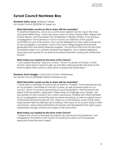### **Nominee: Kathy Jurrus**, Epiphany Toledo

For: Synod Council (2023/26) At Large Lay

#### **What information would you like to share with the Assembly?**

"Currently at Epiphany, I serve as a communion assistant, lector, sing in the choir, and attend Bible Study. I have also been a part of Camp Create (VBS), helped with funeral dinners, and have been part of Epiphany's theater ministry. In my previous congregations I have served on church council, as chairman of the support committee for one of the interns, was a synod delegate for many years and served on the evangelism committee. I have a four-year college degree and recently graduated from the NWOS Diakonia program. I am active in the local Via de Cristo secretariat where I am currently treasurer and registrar. I am a retired registered nurse and have served on my state and national specialty nursing and certification boards."

#### **What makes you hopeful for the future of the Church?**

"I am hopeful because "God is in control." I know it is all part of His plan. As the Church, each person needs to step up and allow their prayer life and study of the Word to direct their actions as they serve to spread the Good News."

### **Nominee: Kevin Swagler**, Community of Christ, Whitehouse

For: Synod Council (2023/26) Toledo Conference Lay

#### **What information would you like to share with the Assembly?**

"I have been a member of Community of Christ for 18 years. I have enjoyed serving on our property committee for the last 15 years, as well as several years on our council. I am in my second year serving as council president. I feel honored to be asked to fill this position, especially in these times of challenge and change. I am also grateful to be involved in our current call process. Working with other members of our congregation toward this goal has been rewarding, as well as a great source of learning and personal growth. My career as a small business owner in the home improvement field has allowed me to interact with many of my church family in their own homes. I enjoy these interactions immensely and feel blessed that I get to grow relationships through worship and career at the same time." Nominee Bios<br>022 Assembly<br>022 Assembly<br>Trevious<br>Trevious<br>Trevious<br>Trevious<br>Cristo<br>endification<br>The viole of the<br>Alforce of the viole of the prome<br>The viole of the same<br>Trevious<br>Trevious<br>Trevious<br>Trevious<br>Trevious<br>Trevious<br>

#### **What makes you hopeful for the future of the Church?**

"I believe the church is the basic foundation for community and guidance. I am energized by the efforts of the Church to continue to reach out to all people, especially those that are in need."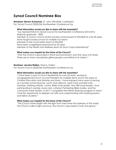**Nominee: Steven Ackerman**, St. John (Windfall), Cardington For: Synod Council (2023/26) Southeastern Conference Lay

#### **What information would you like to share with the Assembly?**

"Lay representative to Synod Council for Southeastern Conference 2015-2016 Diakonia graduate – 2020 Member of church council and/or Sunday school board at Windfall for over 30 years Have taught Sunday school on multiple occasions Member of the Covid safety team at Windfall Have been a registered pharmacist for 42 years Member of the Health and Wellness team for Drum Corps International"

#### **What makes you hopeful for the future of the Church?**

"That the Church is grounded in Word and Sacrament, and that Jesus is its head. There are so many wonderfully gifted people committed to its mission."

#### **Nominee: Jerusha Walker**, Peace, Galion

For: Synod Council (2023/26) Southeastern Conference Lay

#### **What information would you like to share with the Assembly?**

"I have been a part of church leadership for over 25 years, serving as Congregational Church Council President for multiple terms and in the areas of Christian Education and Worship and Music. I have enjoyed many years of serving as a Sunday school teacher, youth choir director, adult choir and bell choir member, assisting minister, cantor, Bible study leader, and VBS study leader. I love participating in worship, book club, Lutheran Partnership Bible studies, and the community meal ministry. In 2017 I completed the NWOS Diakonia program in which I had the opportunity to deepen my faith and understanding with inspiring pastors and fellow students." Nominee Bios<br>022 Assembly<br>22 Assembly<br>25 Nove<br>25 Nove<br>11 Nove<br>125<br>25<br>25<br>25

#### **What makes you hopeful for the future of the Church?**

"The Church shines bright with the light that overcomes the darkness of this world. The Church walks in light and love. The Church is grounded in truth and grace."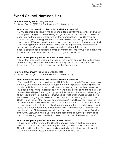#### **Nominee: Wendy Bauer**, Trinity, Moulton

For: Synod Council (2022/25) Southwestern Conference Lay

#### **What information would you like to share with the Assembly?**

"At my congregation I sing in the choir and attend adult Sunday school and weekly prayer group. As grandparents raising two grandchildren, my husband and I have been helping them grow in their faith by their participation in First Communion, Confirmation, and leading Wednesday Lenten worship. I currently volunteer one day a week at Wapakoneta Elementary and am a volunteer for the American Red Cross leading mental health groups. I have worked in psychiatric mental health nursing for over 40 years, serving in agencies in Sandusky, Toledo, and Lima. I have been involved in congregations in three conferences of the NWOS which allows me to see ways in which we are the Church throughout the Synod."

#### **What makes you hopeful for the future of the Church?**

"I know that God continues to work through the Church and is in the world around us, even though His presence may not be readily visible. It is important to take time to see where God is active around us. Look for God moments."

#### **Nominee: Chuck Curry**, First English, Wapakoneta

For: Synod Council (2022/25) Southwestern Conference Lay

#### **What information would you like to share with the Assembly?**

"My name is Chuck. I am a lay leader at First English Lutheran in Wapakoneta. I have done my best to lead our church through a change in pastoral leadership and this pandemic I fully embrace the synod's role of equipping our churches, pastors, and lay leaders, and I have several ideas of how we might better equip the faithful. Can I share a few with you? Well, I greatly appreciate the work the synod did helping us to put together our Parish Plan of Return. Seeing what other churches were doing enabled our congregation to benchmark our policy and identify best practices. Could we do this for other policies and procedures? Also, I have really enjoyed the last two years of Diakonia classes. These classes have been extremely beneficial to me and my church, but I find it difficult to encourage others to participate. I think it would help if candidates would experience it first, "taste and see…" Perhaps we could equip our Diakonia graduates to provide short promotional classes from the curriculum. Lastly, I would like us to be more deliberate about the program goals and outcomes, e.g., we could build a SAM track into the Diakonia curriculum." Nominee Bios<br>022 Assembly<br>022 Assembly<br>1 I have<br>10 Nomes Care Red<br>1 I have<br>1 I have<br>1 I have<br>1 September 20 Assembly<br>1 Assembly<br>1 Assembly<br>1 Assembly<br>1 Assembly<br>1 Assembly<br>1 Assembly<br>1 Assembly<br>1 Assembly<br>1 Assembly<br>1 Asse

#### **What makes you hopeful for the future of the Church?**

"I have hope for the future of the Church because I believe that we are being called to embrace the discipleship, lay leadership, and spirituality of the early Church, and I trust that God has already provided us with all we need to face the future; the gospels of Jesus, the Book of Acts, and His Holy Spirit."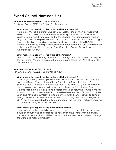#### **Nominee: Michelle Schaffer**, St Peter Norwalk

For: Synod Council (2022/25) Eastern Conference Lay

#### **What information would you like to share with the Assembly?**

"I am presently the director of Christian Day Nursery School which is owned by St Peter. I am enrolled with the Women of St. Peter, quilt for LWR, on the Music and Worship Committee, Evangelism, part of the Liturgical Arts team, assisting minister, sing in the choir, make prayer shawls, and organize funeral luncheons. I have taught Sunday school and served on church council, past president of the NW Ohio Women of the ELCA, and I just finished the Innovator Academy. I am also a member of the Huron County Chapter of the Ohio Genealogy Society Daughter of the American Revolution."

#### **What makes you hopeful for the future of the Church?**

"We as a Church are looking at worship in a new light. It is time to pivot and explore the new world. We are venturing out of our walls and taking the Word of God into our communities."

#### **Nominee: Jillian Russell**, St Paul's Waldo

For: Synod Council (2022/25) Youth/Young Adult

#### **What information would you like to share with the Assembly?**

"I will be graduating from Capital University in Columbus, Ohio with my Bachelor's in Youth and Family Ministry along with my Bachelor's in Psychology and a Pre-Seminary focus. My hope is to attend seminary in the fall of 2023, but I will currently be taking a gap year where I will be working at Rainbow Trail Lutheran Camp in Colorado for the summer as a travel director and will be returning to Ohio in the fall to work at a camp in Northwest Ohio. I have been a member of St. Paul for over ten years and have held numerous positions on the church council, as well as being a voting member to synod assembly twice and as a voting member for the synod in 2019. I have also worked as the office manager for the Center of Faith and Learning at Capital University for the last four years." Nominee Bios<br>022 Assembly<br>022 Assembly<br>22 Assembly<br>10<br>11 member<br>the<br>22<br>27<br>10 member of the fall<br>20<br>27<br>27<br>27<br>27<br>27

#### **What makes you hopeful for the future of the Church?**

"I am hopeful for the church because I have been able to see firsthand the young adults and youth who dedicated to the new and unique work within the church. I am hopeful that the church will be able to take these new ideas and really change the world and make an impact."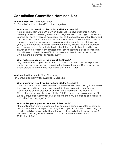#### **Nominee: Mark Hill**, Glenwood, Toledo

For: Consultation Committee (2022/28) At Large Lay

#### **What information would you like to share with the Assembly?**

"I am originally from Elyria, Ohio, which is near Cleveland. I graduated from the University of Toledo, majoring in Business Management and minoring in International Business. I'm currently serving my second year as the council president at Glenwood and my first as a board member of the Better Business Bureau of Northwest Ohio. In my role as a small business owner, we are required to complete an ethics course yearly as a prerequisite to license renewal. One of my favorite volunteer situations was a summer camp for individuals with disabilities. I am highly active within my church and work well in team atmospheres. I am honest and a good listener. I am also willing and able to have difficult discussions, such as those our council had while passing a statement on racial equity." Nominee Bios<br>022 Assembly<br>22 Assembly<br>22 Assembly<br>22 Assembly<br>20 Dio. In<br>20 Dio. In<br>20 Dio. In Mad<br>20 Pople<br>20 Dions and<br>20 Pople<br>20 Pople<br>20 Pople Dions and<br>20 Pople Dions and<br>28<br>28<br>28<br>28

#### **What makes you hopeful for the future of the Church?**

"My church is made up of people who are all different. I have witnessed people putting personal opinions and egos aside for the greater good. Conversations and efforts equate to change and they should start in the Church."

#### **Nominee: David Myerholtz**, Zion, Gibsonburg

For: Consultation Committee (2022/28) At Large Lay

#### **What information would you like to share with the Assembly?**

"I am a full time farmer and have been a member of Zion, Gibsonburg, for my entire life. I have served in numerous positions within the congregation from Budget Committee to council president. Currently I am a member of the Executive Committee and sharing the responsibility of staff management. As a member of the Synod Consultation Committee I will be able to share my experience and talents to assist with sister congregations."

#### **What makes you hopeful for the future of the Church?**

"The continuation of my Christian brothers and sisters being advocates for Christ as we all adapt to the changes in our lifestyles and opinions of others." Do nothing out of selfish ambition or vanity, but humbly regard others as better than yourselves. Be concerned not only with your own interests but also with those of others." (Philippians 2:3-4)"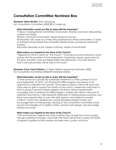#### **Nominee: Glenn Richter**, Zoar, Perrysburg

For: Consultation Committee (2022/28) At Large Lay

#### **What information would you like to share with the Assembly?**

"Various congregational committees: Endowment, Worship and Music, Stewardship, capital fund raising

Recent community involvement: Toledo School for the Arts

Employment: 30+ years as a United Way professional in three communities (17 years as president of the United Way of Greater Toledo) family commercial real estate business

Education: Bachelor of Arts, Master of Divinity, Master of Social Work"

#### **What makes you hopeful for the future of the Church?**

"Depends on what is meant by "the Church." Churches as human institutions come and go. But the promises of God (redemption, forgiveness, peace, good news for the poor, salvation, love) are dependable and permanent. Churches that live God's rule and promises will be here in the future."

**Nominee: Vicar Carol Pretorius**, St. Peter, Delphos (expected ordination 2022) For: Consultation Committee (2023/29) Rostered Minister

#### **What information would you like to share with the Assembly?**

"I have served as a synodically authorized minister for St. Peter Lutheran Church since September 12, 2019. I am finishing the TEEM program and expect to be approved for ordination this summer. I have been a pastor's wife for 38 years and have used my gifts to support the ministry of the church. I retired from education in 2013 to pursue a second master's degree, this time in clinical mental health counseling. Prior to entering the TEEM program I worked with clients in the area of addiction and trauma. I hold separate certification in healing prayer practices, and have many opportunities to work with staff, parents, and students to resolve conflicts. I have many experiences coming alongside people to listen and encourage them on their journeys, Serving on the Consultation Committee would tap into the strengths of my ability to listen, connect with people, and encourage positive outcomes." Nominee Bios<br>022 Assembly<br>022 Assembly<br>2022 Assembly<br>117 years<br>sstate<br>112 State<br>12 State<br>12 Or State<br>12 State<br>12 State<br>9<br>12 Would<br>20<br>29<br>29<br>29<br>29<br>29

#### **What makes you hopeful for the future of the Church?**

"First and foremost, I believe that God is faithful. Even though the church is going through a period of change, I have faith that God is still at work to open the hearts of people to gather as they worship and seek mercy, justice, and love."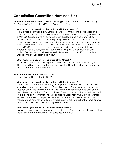**Nominee: Vicar Robin Small**, St. Mark's, Bowling Green (expected ordination 2022) For: Consultation Committee (2023/29) Rostered Minister

#### **What information would you like to share with the Assembly?**

"I am currently a Synodically Authorized Minister (SAM) serving as the Vicar and Director of Christian Education at St. Mark's Lutheran Church in Bowling Green. I am a May 2022 graduate from Pacific Lutheran Theological Seminary and will be ordained in September 2022. Prior to joining the staff at St. Mark's in 2016, I spent many years in leadership positions in education, senior citizen's services, and senior living communities. I served as a part-time lay Call Process Facilitator for the NWOS in the mid 2000's. I am active in the community, serving on several social services boards in Wood County: Wood County Ministries ((WAM), Continuum of Care, Project Connect and Bowling Green Ministerial Association. IN 2017 I completed Stephen Ministry Leadership Training." Nominee Bios<br>022 Assembly<br>022 Assembly<br>30 Nomes<br>spent d senior<br>3<br>Pent Senior<br>Inces<br>1<br>Inces<br>1<br>Pent of Senior<br>1<br>And Vice<br>2<br>2<br>Phave d Vice<br>2<br>2<br>Phave d Vice<br>2<br>2<br>Phave d Vice<br>2<br>2<br>2<br>2<br>2<br>Phave d enter, 2<br>2<br>2<br>2<br>2<br>2<br>2<br>2<br>2<br>2<br>2<br>2<br>2<br>2

#### **What makes you hopeful for the future of the Church?**

"I am hopeful because, looking back, church history tells of the ways the light of Christ shined brightly even in the darkest days. The Church must be the beacon of hope for humankind for the future."

#### **Nominee: Amy Hoffman**, Memorial, Toledo

For: Consultation Committee (2023/29) Lay

#### **What information would you like to share with the Assembly?**

"I have been a member most of my life. Baptized, confirmed, and married. I have served on council for many years – Education, Youth, Financial Secretary and Vice President. I was the transition chair as well as the call committee chair. I sit on the Executive Board of the YWCA of Northwest Ohio and currently their Milestones chair. I have gone on five international mission trips with Habitat/Thrivent builds. I worked 16 years at the Toledo Regional Chamber of Commerce as Member Relations manager and now have worked ten years as an Energy Consultant to large energy users in the public sector as well as government sector."

#### **What makes you hopeful for the future of the Church?**

"What makes me hopeful is what we are doing as a Church outside of the churches walls – out in the community giving ourselves to others."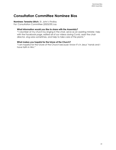### **Nominee: Tenesha Ulrich**, St. John's Findlay

For: Consultation Committee (2023/29) Lay

#### **What information would you like to share with the Assembly?**

"I volunteer at my church by singing in the choir, serve as an assisting minister, help with the Facebook page, edited all of our videos during Covid, assist the choir director, sing solos sometimes, and help to take care of the plants." Nominee Bios<br>022 Assembly<br>er, help<br>noir<br>ds and I

#### **What makes you hopeful for the future of the Church?**

"I am hopeful for the future of the Church because I know it's in Jesus' hands and I have faith in Him."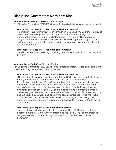#### **Nominee: Pastor Jeffery Gramza**, St. John, Celina

For: Discipline Committee (2022-28) At Large Rostered Minister of Word and Sacrament

#### **What information would you like to share with the Assembly?**

"I earned my MDiv at Trinity Lutheran Seminary in Columbus, my Doctor of Ministry at United Seminary in Dayton. The focus of my doctoral work was clergy and congregational health. I am a Facilitator Trainer in the Healthy Congregations program and a trainer in the Bridgebuilder conflict management program. I serve on the executive board of the local addiction program and volunteer as chaplain at our local hospital."

#### **What makes you hopeful for the future of the Church?**

"God is on the move and doing something new. It's exciting to watch the Holy Spirit at work!"

#### **Nominee: Pastor Doris Mars**, St. John, Findlay

For: Discipline Committee (2022-28) At Large Rostered Minister of Word and Sacrament and Nominating Committee (2022/25) Central

#### **What information would you like to share with the Assembly?**

"Ordained pastor of Word and Sacrament since 2003. I have served with St. John's, Findlay, for five years as Intentional Interim and now as called pastor. Transitional/redevelopment/intentional interim ministry is my mission call. I engage traditional Lutheran theology and liturgy with cross-cultural (African American) worship/music and preaching. I am passionate about constitutional guidance, guidelines and disciplines, and ELCA social messages and statements that raise awareness, give direction, and challenge the Church on issues of inclusion, equality and justice. Social, cultural, and community consciousness has served me well as pastor, teacher, and supervisor. Also, my skills for listening, collaborating and consulting as leader and team player are transferable for the work of the Discipline Committee" Nominee Bios<br>022 Assembly<br>022 Assembly<br>1 Serve<br>1 Serve<br>1 Serve<br>1 Serve<br>1 Crament<br>1 Crament<br>1 Crament<br>1 Crament<br>1 Crament<br>1 Crament<br>1 Crament<br>1 Crament<br>1 Crament<br>1 Crament<br>1 Crament<br>1 Servell as<br>1 Sicipline<br>1 Servell as<br>1 S

#### **What makes you hopeful for the future of the Church?**

"I'm hopeful when I witness small or large communities of faith living a uniquely discerned mission of Christ in their context, and they boldly seek partnerships with congregations and community organizations to address the needs of the community."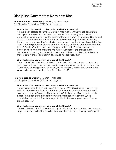**Nominee: Amy L. Schroeder**, St. Mark's, Bowling Green For: Discipline Committee (2022/28) At Large Lay

#### **What information would you like to share with the Assembly?**

"I have been blessed to serve St. Mark's in many different ways: call committee chair, past Sunday school teacher, past women's Bible study facilitator, and altar guild just to name a few. I was the coordinator for a women's weekend Bible retreat at St. Mark's. I have served my community by volunteering for Project Connect, team mom for my daughter's volleyball teams, and donated blood through the Red Cross. I have a paralegal degree from the University of Toledo and have worked at the U.S. District Court for two district judges for the past 27 years. I believe that between my faith foundation and the numerous years of experience in the courtroom, I have a great sense of importance of this committee and will ensure that steadfast prayer and committee guidelines are followed." 33 Nominee Bios

#### **What makes you hopeful for the future of the Church?**

"I have great hope in the Church and Jesus Christ our Savior. Each day the Lord provides us with seen and unseen blessings, accompanied by His grace and love. God's Word challenges us all to go out, be His disciples, and to love one another. What an honor and blessing it is to fulfill His mission!"

#### **Nominee: Brenda Shibler**, St. Martin's, Archbold

For: Discipline Committee (2022/28) At Large Lay

#### **What information would you like to share with the Assembly?**

"I graduated from Trinity Seminary, Columbus in 1995 with a Master of Arts in Lay Ministry. I have served as office manager at my home congregation since 1995. I have served on the Women of Northwestern Ohio Synodical Board and Sonlight editor. I have served as delegate from our congregation to several Synod assemblies. I worked at Sauder Village, Archbold, for many years as a guide and area supervisor."

#### **What makes you hopeful for the future of the Church?**

"God has blessed the ELCA as they carry our His work in the churches, conferences, synods, and the world. The ELCA has been on the front lines bringing the Gospel to all."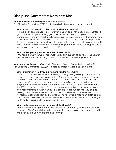#### **Nominee: Pastor Melodi Hagen**, Trinity, Wapakoneta

For: Discipline Committee (2023/29) Rostered Minister of Word and Sacrament

#### **What information would you like to share with the Assembly?**

"I have been an ordained Pastor for over 13 years and I have been a mother for 13 years as well. Discipline, having good healthy boundaries, having empathy and compassion when we cross those boundaries is not easy. Being a faithful parent and a healthy leader in the church at the same time is not easy, but that's my purpose to be a role model to my family and to my church. I don't have all the answers, but I have healthy role models in my life and they support me in deep listening for God's wisdom and guidance in my day to day life."

#### **What makes you hopeful for the future of the Church?**

"My hope is always in God's redemptive power in our day to day lives. The Church will look different, but God's grace and love in the Church always remains."

**Nominee: Vicar Rebecca West-Estell**, Glenwood, Toledo (expected ordination 2022) For: Discipline Committee (2023/29) Rostered Minister of Word and Sacrament

#### **What information would you like to share with the Assembly?**

"I am a Child Protective Services Attorney Monday through Friday from 8:30-4:40. All other times I am a student pastor for the Monroe Corridor which includes Glenwood, Memorial, and St. Paul Lutheran churches in Toledo, Ohio. I am a consecrated minister of Word and Service through the Lutheran Diaconal Association in Valparaiso, Indiana. My consecration date was 12/5/2009. I am in my third year in the TEEM program through PLTS. I have one semester left and am completing my two-year internship in August, 2022. I am eligible for graduation this May despite having one more semester left. I am a US Army and US Air Force veteran with honorable discharges from both branches. I have served o many non-profit boards. I am married to Rodney West-Estell, an elementary school teacher who is finishing up his formation as a Minister of Word and Service." Nominee Bios<br>022 Assembly<br>022 Assembly<br>2022 Assembly<br>2022 Assembly<br>2022 Church<br>"20222 Church"<br>"20222 Church"<br>"20222 Church"<br>"20222 Church"<br>"20222 Church"<br>"20222 Church"<br>"20222 Church"<br>"20222 Church"<br>"Bing my<br>spite<br>"10 Spit

#### **What makes you hopeful for the future of the Church?**

"The Church is moving outside of its walls into the community sharing the Gospel in all venues. The Church is truly in the community ministering as Jesus ministered, with the people. The Church is loving and serving."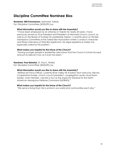**Nominee: Milt Pommeranz**, Memorial, Toledo For: Discipline Committee (2023/29) Lay

#### **What information would you like to share with the Assembly?**

"I have been employed as an attorney in Toledo for nearly 20 years. I have previously served as Vice President and President of Memorial church council, as well as on the Board of Trustees for Leadership Toledo. I currently serve on the Bar Admissions Committee of the Toledo Bar Association where I conduct character and fitness interviews of Ohio Bar applicants. My legal experience makes me especially suited for this position." Nominee Bios<br>022 Assembly<br>acter<br>acter<br>Focused<br>Electric<br>eam<br>1<br>y.''

#### **What makes you hopeful for the future of the Church?**

"Having younger people in leadership roles shows that the Church is future-focused and just as relevant now as it ever has been."

#### **Nominee: Paul Beineke**, St. Paul's, Waldo

For: Discipline Committee (2023/29) Lay

#### **What information would you like to share with the Assembly?**

"Retired Air Force Officer, currently River Valley HS Aviation Tech instructor, Electric Cooperative trustee, church council president, congregation audio visual team leader, choir member. I served a tour as the Inspector General for the North American Aerospace Defense Command (NORAD)."

#### **What makes you hopeful for the future of the Church?**

"We serve a living God. He is active in our world and communities each day."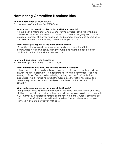### **Nominating Committee Nominee Bios**

#### **Nominee: Tom Ritter**, St. Mark, Toledo

For: Nominating Committee (2022/25) Central

#### **What information would you like to share with the Assembly?**

"I have been a member of Synod Council for many years. I serve the synod as a member of the Synod Executive Committee. I am also the congregation's council president, member of the traditional choir and member of our praise band. I have served on the synod's nominating committee this year (2022)."

#### **What makes you hopeful for the future of the Church?**

"By looking at new ways to reach people; building relationships with the communities in which we serve, taking the Gospel to where the people are in addition to be the place where people come."

#### **Nominee: Diane Ninke**, Zoar, Perrysburg

For: Nominating Committee (2023/26) At Large

#### **What information would you like to share with the Assembly?**

"I have been a Lutheran all my life and have served the local church, synod, and church-wide in several ways. From teaching to serving on committees locally to serving on Synod Council, to twice being a voting member for Churchwide assemblies, I have worked to spread the Gospel in ways that fit my talents and interests. My current focus is on small group studies as another expression of Church."

#### **What makes you hopeful for the future of the Church?**

"The pandemic has highlighted the needs of the world through Church, and it also highlighted our failures to address those needs in meaningful ways to those currently NON-members. The potential for revival and renewal in the Church is amazing, but also a bit scary. God has opened the door to fresh ideas and new ways to spread His Word. It is time to go through that door." Nominee Bios<br>022 Assembly<br>022 Assembly<br>. I have<br>.<br>.<br>ing, but<br>ing, but<br>spread<br>36<br>36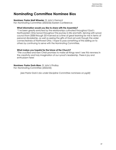# **Nominating Committee Nominee Bios**

**Nominee: Pastor Matt Wheeler**, St John's Fremont

For: Nominating Committee (2023/26) Eastern Conference

#### **What information would you like to share with the Assembly?**

"I've been greatly enriched by the relationships cultivated throughout God's Northwestern Ohio Synod throughout this journey in life and faith. Serving with synod council from 2008 through 2014 served as a time of great learning for me in terms of personal discipleship, as well as seeing the gifts of God ad work though the wider connectedness of Northwest Ohio. I hope to pass something of this belling on to others by continuing to serve with the Nominating Committee. Nominee Bios<br>022 Assembly<br>1's<br>tith synod<br>terms of<br>whess in<br>ad

#### **What makes you hopeful for the future of the Church?**

"The crucified and risen Christ promises to make all things new! I see this newness in the creativity and holy imagination of our synod's leadership. There is joy and enthusiasm here!

#### **Nominee: Pastor Doris Mars**, St John's Findlay

For: Nominating Committee (2022/25)

*[see Pastor Doris's bio under Discipline Committee nominees on pg32]*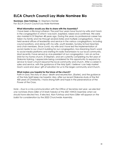# **ELCA Church Council Lay Male Nominee Bio**

**Nominee: Alan Fuhrhop**, St. Stephens Hamler For: ELCA Church Council Lay Male Nominee

#### **What information would you like to share with the Assembly?**

I have been a life-long Lutheran: The past four years have found my wife and I back in the congregation in which I was born, baptized, raised and confirmed. We were also married in St Stephen 48 years ago. During the years my professional career has taken my family and me through several states and multiple congregations. I have held several offices of leadership and service in the various congregations, including council positions, and along with my wife, youth leaders, Sunday School teachers and choir members. Since covid, my wife and I have led the implementation of social media to our church building for our congregation, live streaming God's word to social media platforms and starting fm radio transmission to our local community. Most recently I have served as vice-president of our congregation. I am an active SAM for my home church, St Stephen, and am currently completing my first year of Diakonia training. I appreciate being considered for this opportunity to expand my service to God's church beyond the local community and church. After a career in sales and service, with the guidance of the Holy Spirit, I believe I can help market God's word and Jesus' gift of salvation for us to the larger community and Church. Nominee Bios<br>022 Assembly<br>022 Assembly<br>32 Assembly<br>3. I have<br>including<br>achers<br>30 Nord<br>30 Nord munity.<br>active<br>4 Nord my<br>care in market<br>Church.<br>Jidance<br>the first<br>30 f the<br>elected<br>0 we<br>20 n the

#### **What makes you hopeful for the future of the church?**

Faith in God, the story of Jesus' death and resurrection, (Easter), and the guidance of the Holy Spirit keep me hopeful. Also, after our recent Diakonia study of the first 400 years of Christianity, I have strong faith and hope in the perseverance of the Power of the Cross.

*Note – Due to a mis-communication with the Office of Secretary last year, we elected one nominee (Hans Giller of St Mark Toledo) at the 2021 NWOS Assembly when we should have elected two. If elected, Alan Fuhrhop and Hans Giller will appear on the ballot for consideration by the 2022 Churchwide Assembly.*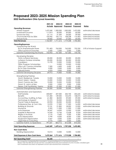# **Proposed 2023-2025 Mission Spending Plan**

## **2022 Northwestern Ohio Synod Assembly**

|                                                                                   |                                                                                                        |                                    |                     |                            | 2022 Assembly          |
|-----------------------------------------------------------------------------------|--------------------------------------------------------------------------------------------------------|------------------------------------|---------------------|----------------------------|------------------------|
|                                                                                   |                                                                                                        |                                    |                     |                            |                        |
| Proposed 2023-2025 Mission Spending Plan<br>2022 Northwestern Ohio Synod Assembly |                                                                                                        |                                    |                     |                            |                        |
|                                                                                   | 2021/22                                                                                                | 2022/23<br><b>Actuals Approved</b> | 2023/24<br>Proposed | 2024/25<br><b>Proposed</b> | <b>Notes</b>           |
| <b>Operating Revenues</b><br>Mission Support                                      | 1,473,340                                                                                              | 1,500,000                          | 1,500,000           | 1,475,000                  | estimated decrease     |
| Investment Income                                                                 | 111,813                                                                                                | 50,000                             | 50,000              | 50,000                     |                        |
| Synod Use Only                                                                    | 31,116                                                                                                 | 31,500                             | 34,000              | 39,000                     | estimated increases    |
| Churchwide POS for DEM                                                            | 105,906                                                                                                | 106,116                            | 108,238             | 110,403                    | estimated increases    |
| Annual Fund<br><b>Total Revenues</b>                                              | 39,832<br>1,762,007                                                                                    | 24,000<br>1,711,616                | 27,000<br>1,719,238 | 30,000<br>1,704,403        | estimated increases    |
|                                                                                   |                                                                                                        |                                    |                     |                            |                        |
| <b>OperatingExpenses</b>                                                          |                                                                                                        |                                    |                     |                            |                        |
| Transforming the World                                                            |                                                                                                        |                                    |                     |                            |                        |
| <b>ELCA Proportionate Share</b>                                                   | 751,403                                                                                                | 765,000                            | 765,000             | 752,250                    | 51% of Mission Support |
| Ohio Council of Churches<br>Subtotal Transforming the World                       | 2,500<br>753,903                                                                                       | 2,500<br>767,500                   | 2,500<br>767,500    | 2,500<br>754,750           |                        |
|                                                                                   |                                                                                                        |                                    |                     |                            |                        |
| <b>Developing Disciples</b>                                                       |                                                                                                        |                                    |                     |                            |                        |
| <b>Trinity Lutheran Seminary</b><br>Lutheran Outdoor Ministries                   | 20,000<br>20,000                                                                                       | 20,000<br>20,000                   | 20,000<br>20,000    | 20,000<br>20,000           |                        |
| Candidacy                                                                         | 13,192                                                                                                 | 10,000                             | 10,000              | 10,000                     |                        |
| <b>TEEM Program Scholarships</b>                                                  |                                                                                                        | 10,000                             | 10,000              | 10,000                     |                        |
| Ohio Luth. Campus Ministries                                                      | 7,500                                                                                                  | 6,400                              | 6,400               | 6,400                      |                        |
| <b>ELCA Ohio Universities</b>                                                     | 5,000                                                                                                  | 5,000                              | 5,000               | 5,000                      |                        |
| <b>Special Events</b>                                                             | 4,223                                                                                                  | 3,000                              | 3,000               | 3,000                      |                        |
| <b>Subtotal Developing Disciples</b>                                              | 69,915                                                                                                 | 74,400                             | 74,400              | 74,400                     |                        |
| <b>Strengthening Parishes</b>                                                     |                                                                                                        |                                    |                     |                            |                        |
| Grant: Redeemer, Toledo                                                           | 10,000                                                                                                 | 10,000                             | 10,000              | 10,000                     |                        |
| Grant: Salem, Toledo                                                              | 10,000                                                                                                 | 10,000                             | 10,000              | 10,000                     |                        |
| Grant: Camino de Vida<br>Grant: St. John's at Bay                                 | 10,000<br>2,000                                                                                        | 10,000<br>2,000                    | 10,000<br>2,000     | 10,000<br>2,000            |                        |
| Deans, Call Facilitators, Teams                                                   | 18,500                                                                                                 | 21,000                             | 21,000              | 21,000                     |                        |
| <b>Subtotal Strengthening Parishes</b>                                            | 50,500                                                                                                 | 53,000                             | 53,000              | 53,000                     |                        |
|                                                                                   |                                                                                                        |                                    |                     |                            |                        |
| Administration and Operations<br><b>Staff Salaries</b>                            | 440,857                                                                                                | 437,000                            | 445,740             | 454,655                    | estimated increases    |
| <b>Benefits</b>                                                                   | 141,300                                                                                                | 149,000                            | 153,470             | 158,074                    | estimated increases    |
| Accounting, Auditing, & Fees                                                      | 61,382                                                                                                 | 58,000                             | 59,000              | 59,000                     | estimated increases    |
| Technology & Support                                                              | 31,572                                                                                                 | 33,000                             | 33,000              | 33,000                     |                        |
| Payroll Taxes & Expenses                                                          | 23,903                                                                                                 | 25,000                             | 25,000              | 25,000                     |                        |
| Professional Exp. & Cont. Edu.                                                    | 15,923                                                                                                 | 17,500                             | 17,500              | 16,000                     | estimated decrease     |
| <b>Building &amp; Grounds</b>                                                     | 19,741                                                                                                 | 21,850                             | 18,000              | 12,000                     | estimated decrease     |
| Insurance<br>Auto Expenses                                                        | 9,592<br>18,347                                                                                        | 11,000<br>14,000                   | 11,000<br>12,000    | 11,000<br>10,000           | estimated decrease     |
| Supplies & Resources                                                              | 14,242                                                                                                 | 12,766                             | 12,628              | 9,024                      | estimated decrease     |
| Region 6 Archives                                                                 | 3,176                                                                                                  | 9,600                              | 9,500               | 9,500                      | estimated decrease     |
| Auto Depreciation                                                                 | 3,799                                                                                                  | 8,500                              | 8,500               | 7,000                      | estimated decrease     |
| <b>Equipment Depreciation</b>                                                     | 4,427                                                                                                  | 4,000                              | 3,500               | 2,500                      | estimated decrease     |
| Legal Fees & Consulting                                                           | 2,770                                                                                                  | 3,500                              | 3,500               | 3,500                      |                        |
| Subtotal Admin. & Operations                                                      | 791,031                                                                                                | 804,716                            | 812,338             | 810,253                    |                        |
| <b>Total Operating Expenses</b>                                                   | 1,665,349                                                                                              | 1,699,616                          | 1,707,238           | 1,692,403                  |                        |
| <b>Non-Cash Items</b>                                                             |                                                                                                        |                                    |                     |                            |                        |
| <b>Building Depreciation</b>                                                      | 10,015                                                                                                 | 12,000                             | 12,000              | 12,000                     |                        |
| <b>Total Expenses &amp; Non-Cash Items</b>                                        | 1,675,364                                                                                              | 1,711,616                          | 1,719,238           | 1,704,403                  |                        |
| <b>Net Operating Total*</b>                                                       | 86,643                                                                                                 |                                    |                     |                            |                        |
|                                                                                   | *net change from this Spending Plan is recorded to "Unrestricted Reserves" on the financial statements |                                    |                     |                            |                        |

*from investments and does not represent actual cash received from investments.*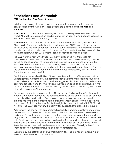# **Resolutions and Memorials**

#### **2022 Northwestern Ohio Synod Assembly**

Individuals, congregations, and councils may submit requested action items for consideration by the Assembly. These actions are classified as a **Resolution** or a **Memorial**.

A **resolution** is a formal action from a synod assembly to request action within the synod. Alternatively, a resolution can be formal action from a synod council directed to the Churchwide Council requesting action.

A **memorial** is a type of resolution in which a synod assembly formally requests the Churchwide Assembly (the highest body in the national ELCA) to consider certain action. Due to the inter-dependent nature of our church structure, a Memorial from a synod cannot direct or demand action from the Churchwide Assembly or organization (the national ELCA body). A memorial can only request or suggest action.

The 2022 Northwestern Ohio Synod Assembly has received two Memorials for consideration. These memorials request that the 2022 Churchwide Assembly consider acting on specific items. The Reference and Counsel Committee has reviewed the memorials to ensure they are in order – that is, the committee has reviewed the memorials to ensure they do not conflict with the governing documents of this Church. The committee makes no recommendation nor does it express any opinion to the Assembly regarding memorials.

The first memorial received is titled "A Memorial Regarding Non-Disclosure and Non-Disparagement Agreements". The committee reviewed this memorial and found it in order and received on time. The committee suggested that the authors consider some edits for clarification and this final version is included on page 41 and is included in the Order of Business for Assembly debate. The original version as submitted by the authors is included on page 42 for reference.

The second memorial received is titled "Changing the On Leave from Call Removal Process". The committee found the version submitted by the authors to be out of order but received by the deadline. One resolved clause was out of order because it directed the synod and bishop to take action that was in conflict with the governing documents of this Church – specifically the original clause conflicted with 7.31.07 and 7.61.08 of the ELCA constitution. The committee suggested this clause be removed.

Additionally, the original version combined a resolution and memorial into one action. This was also out of order as a resolution and memorial are directed to two different audiences (as explained above) and therefore need to be separate. The committee suggested the authors reclassify this as a memorial given that the resolution portion was out of order yet the memorial portion was in order. The committee also recommended revisions for clarity and accuracy and the final revised version will be posted to the Assembly webpage once it has been received and reviewed. The original version as submitted by the authors is included on page 45 for reference. Resolutions and Memorials<br>
2022 Assembly<br>
2022 Assembly<br>
2022 Assembly<br>
2022 Assembly<br>
10 Product directed to<br>
10 Product directed to<br>
10 Production<br>
10 Production<br>
10 Product and Solution<br>
10 Product and Solution<br>
10 Prod

Submitted by the Reference and Counsel Committee: Melissa Peper Firestone, Vicar Rebecca West-Estell, and Jacob Henry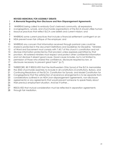#### **REVISED MEMORIAL FOR ASSEMBLY DEBATE:**

#### 1 **A Memorial Regarding Non-Disclosure and Non-Disparagement Agreements** 2

3 WHEREAS being called to embody God's beloved community, all expressions

- 4 (congregations, synods, and churchwide organization) of the ELCA should utilize human
- 5 resource practices that reflect ELCA core beliefs and current mission; and
- 6

7 WHEREAS some current practices that include a financial settlement contingent on an 8 NDA prevent even fair critique of the employer; and Resolutions and Memorials<br>
2022 Assembly<br>
2022 Assembly<br>
2022 Assembly<br>
1022 Assembly<br>
1022 Assembly<br>
1022 Assembly<br>
2022 Assembly<br>
2022 Assembly<br>
2022 Assembly<br>
1022 Assembly<br>
1022 Assembly<br>
1022 Significant of the signal

- 9
- 10 WHEREAS any concern that information received through pastoral care could be
- 11 shared is protected in the document Definitions and Guidelines for Discipline, "Ministers
- 12 of Word and Sacrament must comply with 7.45.7 of this church's constitution and not
- 13 disclose information protected by that provision unless expressly permitted by that
- 14 provision. All rostered ministers must respect and protect other confidential information
- 15 and not disclose it absent good cause. Good cause includes, but is not limited to,
- 16 permission of those who shared the confidence, disclosure required by law, or
- 17 disclosure necessary to prevent great harm" (p.7);
- 18
- 19 THEREFORE, BE IT RESOLVED that the Northwestern Ohio Synod of the ELCA memorialize
- 20 the 2022 churchwide assembly to include in all constitutions (Constitutions, Bylaws, and
- 21 Continuing Resolutions of the ELCA, Constitution for Synods, and Model Constitution for
- 22 Congregations) that the satisfaction of severance arrangements is to be separate from
- 23 considerations outlined in an NDA (non-disparagement agreements, non-disclosure
- 24 agreements) or any agreements that would prevent someone to speak freely about
- 25 their previous employment situation. And be it further...
- 26
- 27 RESOLVED that mutual consideration must be reflected in separation agreements
- 28 through fair mediation.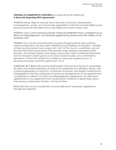#### **ORIGINAL AS SUBMITTED BY AUTHOROS** [included strictly for reference]**: A Memorial Regarding NDA Agreements**

WHEREAS being called to embody God's beloved community, all expressions (congregations, synods, and churchwide organization) of the ELCA should utilize human resource practices that reflect ELCA core beliefs and current mission; and

WHEREAS some current practices include a financial settlement that is contingent on an NDA (non-disparagement, non-disclosure agreements) prevent even fair critique of the employer; and

WHEREAS any concern that information received through pastoral care could be shared is protected in the document Definitions and Guidelines for Discipline, "Ministers of Word and Sacrament must comply with 7.45.7 of this church's constitution and not disclose information protected by that provision unless expressly permitted by that provision. All rostered ministers must respect and protect other confidential information and not disclose it absent good cause. Good cause includes, but is not limited to, permission of those who shared the confidence, disclosure required by law, or disclosure necessary to prevent great harm" (p.7); Resolutions and Memorials<br>
2022 Assembly<br>
2022 Assembly<br>
1:<br>
1:<br>
1:<br>
1:<br>
2:<br>
2: Contingent on an<br>
and<br>
2: Contingent on an<br>
1:<br>
2: Continue of the<br>
2: Continue of the Simulation<br>
2: Continue of the Simulation<br>
2: Continue

THEREFORE, BE IT RESOLVED that the Northwestern Ohio Synod of the ELCA memorialize the 2022 churchwide assembly to include in all constitutions (Constitutions, Bylaws, and Continuing Resolutions of the ELCA, Constitution for Synods, and Model Constitution for Congregations) that the satisfaction of severance arrangements is to be separate from considerations outlined in an NDA (non-disparagement agreements, non-disclosure agreements) or any agreements that would prevent someone to speak freely about their previous employment situation. And be it further…

RESOLVED that mutual consideration must be reflected in separation agreements through fair mediation.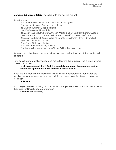#### **Memorial Submission Details** [included with original submission]**:**

Submitted by:

Rev. Adam Sornchai, St. John (Windfall), Cardington Rev. Janine Shearer, Emanuel, Napoleon Rev. Kristin Hunsinger, Hope, Toledo Rev. Kevin Maxey, Hope, Toledo Rev. Matt Musteric, St. Peter Lutheran, Martin and St. Luke's Lutheran, Curtice Deacon Amanda Carpenter, Bethlehem/St. Mark's Lutheran, Defiance Rev. Mary Beth Smith-Gunn, Williams County ELCA Parish - Trinity, Bryan, First, Bryan, and St. Peter's, Edon Rev. Cindy Getzinger, Retired Rev. William Stenke, Trinity, Findlay Rev. Brenda Peconge, McLaren St Luke's Hospital, Maumee Resolutions and Memorials<br>
2022 Assembly<br>
2022 Assembly<br>
Hheran, Curtice<br>
Defiance<br>
of the Resolution if<br>
are church at large<br> **arency and for**<br>
penditures are<br>
purpose of the<br>
his resolution within<br>
As

Answer briefly, the three questions below that describe implications of the Resolution if adopted.

How does the memorial enhance and move forward the mission of the church at large and of this synod?

#### **In all expressions of the ELCA this memorial encourages transparency and for separation agreements to not be used in abusive ways.**

What are the financial implications of this resolution if adopted? If expenditures are required, what sources of income are anticipated to accomplish the purpose of the resolution?

#### **Unknown**

Who do you foresee as being responsible for the implementation of this resolution within this synod, or Churchwide organization?

#### **Churchwide Assembly**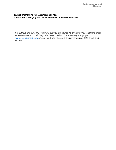#### **REVISED MEMORIAL FOR ASSEMBLY DEBATE: A Memorial: Changing the On Leave from Call Removal Process**

*[The authors are currently working on revisions needed to bring this memorial into order. The revised memorial will be posted separately to the Assembly webpage [www.nwosassembly.org](http://www.nwosassembly.org/) once it has been received and reviewed by Reference and Counsel]* Resolutions and Memorials<br>
2022 Assembly<br>
2022 Assembly<br>
Dage<br>
Reference and<br>
44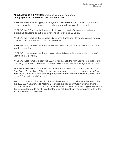#### **AS SUBMITTED BY THE AUTHORS** [included strictly for reference]**: Changing the On Leave From Call Removal Process**

WHEREAS individuals, congregations, synods and the ELCA churchwide organization invest a great time of energy, time, and money into training rostered ministers,

WHEREAS the ELCA churchwide organization and many ELCA synods have been expressing concerns about a clergy shortage for at least 20 years,

WHEREAS the synods of the ELCA handle interim, transitional, term, specialized ministry calls, and On Leave From Call status differently,

WHEREAS some rostered ministers experience toxic and/or abusive calls that are often terminated quickly,

WHEREAS some rostered ministers disproportionately experience extended time in On Leave From Call status,

WHEREAS those removed from the ELCA roster through their On Leave From Call Status not being approved or renewed, have no way to effectively challenge their removal,

BE IT RESOLVED that the Northwestern Ohio Synod Assembly direct the Northwestern Ohio Synod Council and Bishop to suspend removing any rostered minister in the Synod from the ELCA roster due to anything other than formal disciplinary reasons as set forth in the ELCA and Synod Constitution.

AND BE IT FURTHER RESOLVED that the Northwestern Ohio Synod Assembly memorialize the 2022 ELCA Churchwide Assembly to make the necessary Constitutional changes (ELCA Constitution, 7.31.07, 7.61.08) as expediently as possible, prohibiting removal from the ELCA roster due to anything other than formal disciplinary reasons as set forth in the ELCA and Synod Constitutions. Resolutions and Memorials<br>
2022 Assembly<br>
2022 Assembly<br>
45 Programization<br>
ministers,<br>
have been<br>
ecialized ministry<br>
alls that are often<br>
anded time in On<br>
performed from Alexanders<br>
Performed Memorialize<br>
Performed Memo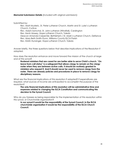#### **Memorial Submission Details** [included with original submission]**:**

Submitted by:

Rev. Matt Musteric, St. Peter Lutheran Church, Martin and St. Luke's Lutheran Church, Curtice Rev. Adam Sornchai, St. John Lutheran (Windfall), Cardington Rev. Kevin Maxey, Hope Lutheran Church, Toledo Deacon Amanda Carpenter, Bethlehem / St. Mark's Lutheran Church, Defiance Rev. Mary Beth Smith-Gunn, Williams County ELCA Parish Rev. Kristin Hunsinger, Hope Lutheran Church, Toledo Resolutions and Memorials<br>
2022 Assembly<br>
2022 Assembly<br>
40 Resolution if<br>
40 Resolution if<br>
40 Resolution if<br>
40 Resolution if<br>
40 Resolution<br>
10 Resolution<br>
10 Resolution<br>
20 Resolution<br>
46 Resolution<br>
46 Resolution<br>
46

Answer briefly, the three questions below that describe implications of the Resolution if adopted.

How does the resolution enhance and move forward the mission of the church at large and of this synod?

**Rostered ministers that are cared for are better able to serve Christ's church. "On leave from call status" is a safeguard that allows clergy to remain on the clergy roster when they are between active calls. It should be routinely granted to ministers who request it. And it should never be used to remove clergy from the roster. There are already policies and procedures in place to remove clergy for disciplinary reasons.**

What are the financial implications of this resolution if adopted? If expenditures are required, what sources of income are anticipated to accomplish the purpose of the resolution?

**The only financial implications of this resolution will be administrative time and expenses related to changing the ELCA Constitution and communicating this decision to the Synod Council.**

Who do you foresee as being responsible for the implementation of this resolution within this synod, or Churchwide organization?

**In our synod it would be the responsibility of the Synod Council. In the ELCA churchwide organization it would be the responsibility of the ELCA Church Council.**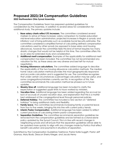# **Proposed 2023/24 Compensation Guidelines**

## **2022 Northwestern Ohio Synod Assembly**

The Compensation Guidelines Team has prepared updated guidelines for consideration by the Assembly, in addition to several areas for consideration for additional study. The primary updates include:

- 1. **Base salary charts reflect 3% increases**. The committee considered several markers to arrive at these increases: salary comparison to masters-educated mid-level education administrators; projected increases in Region 6 synods; and inflation/ cost of living estimates such as available Social Security estimates. The committee considered a simplified format of calculating defined compensation calculations used by other synods (as opposed to base salary and housing allowance), however the committee feels this kind of format requires too many drastic changes that would not be helpful at this time. The committee offers this as an area for extended study and consideration. Proposed Compensation Guidelines<br>
2022 Assemby<br>
2022 Assemby<br>
2022 Assemby<br>
2022 Assemby<br>
10 Considered several<br>
to masters-educated<br>
to masters-educated<br>
to masters-educated<br>
and Security estimates. The<br>
3 defined compens
- 2. **Additional merit compensation**. Examples of the applicability for additional merit compensation has been included. The committee has not recommended any valuation for this, as these areas are very diverse and best left for mutual negotiation.
- 3. **Housing Allowance calculations**. The committee added language to describe the applicability of the two housing allowance calculation methods. The median home value calculation method provides the most geographically responsive and accurate calculation and is suggested for use. The committee recognizes that under certain circumstances a percentage calculation may be useful, and some congregations/ministers currently use this. In recognition of this, the committee recommends this calculation method be phased out in future updates.
- 4. **Weekly time off**. Additional language has been included to clarify the expectation or suggested upper limits to hours worked by ministers.
- 5. **Vacation time**. Additional language has been added regarding the accrual (or lack of accrual) of unused vacation days, and explanation that this is a matter best addressed at the congregational level through personnel policies.
- 6. **Deferred Holiday**. The committee has included a new section on "deferred holidays" to bring additional clarity and flexibility.
- 7. **Family leave**. The committee recommends increasing family or parental leave from four to five weeks, bringing this into line with current policy trends.
- 8. **Interim Pastor Compensation**. Additional language has been added to reflect current practices of calculating interim pastor compensation.
- 9. **Separation Guidelines**. The committee recommends separation guidelines be removed from the compensation guidelines and be formed as a stand-alone policy updated by the Synod Council. This is in line with recent changes in neighboring synods and will ensure that the separation guidelines will be able to be updated more quickly to align with any changes made by Portico that effect benefit calculation and payments in situations of separation.

Submitted by the Compensation Guidelines Taskforce: Pastor Katie Suggitt, Pastor Jeff Gramza, Mary Boals, Deacon Sherry Krieger, and Jacob Henry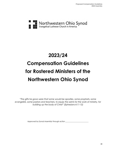

# **2023/24 Compensation Guidelines for Rostered Ministers of the Northwestern Ohio Synod** Proposed Compensation Guidelines<br>
2022 Assembly<br> **Synod<br>
ABREMS**<br>
Propoped Synon<br>
Dome prophets, some<br>
or the work of ministry, for<br>
48

*"The gifts he gave were that some would be apostles, some prophets, some evangelists, some pastors and teachers, to equip the saints for the work of ministry, for building up the body of Christ" (Ephesians 4:11-12)* 

Approved by Synod Assembly through action \_\_\_\_\_\_\_\_\_\_\_\_\_\_\_\_\_\_\_\_\_\_\_\_\_\_\_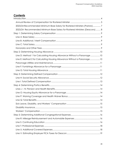# **Contents**

| <b>Proposed Compensation Guidelines</b><br>2022 Assembly                    |
|-----------------------------------------------------------------------------|
|                                                                             |
| <u>Contents</u>                                                             |
|                                                                             |
|                                                                             |
| 2023/24 Recommended Minimum Base Salary for Rostered Ministers (Pastors)7   |
| 2023/24 Recommended Minimum Base Salary for Rostered Ministers (Deacons)  8 |
|                                                                             |
|                                                                             |
|                                                                             |
|                                                                             |
|                                                                             |
|                                                                             |
| Line D: Method 1 for Calculating Housing Allowance Without a Parsonage10    |
| Line E: Method 2 for Calculating Housing Allowance Without a Parsonage10    |
|                                                                             |
|                                                                             |
|                                                                             |
|                                                                             |
|                                                                             |
|                                                                             |
|                                                                             |
|                                                                             |
|                                                                             |
|                                                                             |
|                                                                             |
|                                                                             |
|                                                                             |
|                                                                             |
|                                                                             |
|                                                                             |
|                                                                             |
|                                                                             |
|                                                                             |
|                                                                             |
|                                                                             |
|                                                                             |
| 49                                                                          |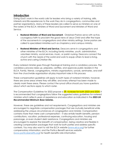# <span id="page-50-0"></span>**Introduction**

Doing God's work in the world calls for leaders who bring a variety of training, skills, interests and life experiences to the work they do in congregations, communities and partner organizations. Many of these leaders are called to serve as ministers on one of the rosters of the ELCA: Ministers of Word and Sacrament and Ministers of Word and Service.

- **Rostered Ministers of Word and Sacrament**. Ordained Pastors serve with active, courageous faith to proclaim the good news of Jesus Christ and offer the hope of the sacraments in congregations and other ministry settings. Some pastors are called to specialized ministries such as chaplaincy and campus ministry.
- **Rostered Ministers of Word and Service.** Deacons serve in congregations and other ministries of the ELCA, including family ministries, youth, administration, volunteer ministry, social services, music, or parish nursing. Deacons connect the church with the needs of the world and work to equip others to lead a living, active and caring Christian life.

Every rostered minister goes through theological training and a candidacy process. The candidacy process raises up, prepares, certifies, and approves public leaders in the ELCA. Family, friends, congregations, ministry organizations, synods, seminaries, and staff from the churchwide organization all play important roles in this process

These compensation guidelines will apply to both types of rostered ministers, however, there are some areas where they will differ, and every attempt has been made to clearly mark these areas. Please contact the synod office should you have questions about which sections apply to which roster.

The Compensation Guidelines for 2022 propose a 3% increase for both 2023 and 2024. It is recommended that congregations follow the suggested salary guidelines for rostered ministers which reflects years of experience and education as indicated in the *2023-24 Recommended Minimum Base Salaries.* 

However, these are guidelines and not requirements. Congregations and ministers are encouraged to negotiate compensation packages that are mutually beneficial while addressing the unique circumstances of congregation and minister. Compensation contains more than mere cash compensation – it also entails health benefits, pension contributions, vacation, professional expenses, continuing education, housing and parsonage, or even student debt assistance. Congregations and ministers are encouraged to explore the breadth of compensation, being creative and flexible in creating compensation packages that work for both parties and address specific contexts. You may also want to visit the ELCA website [\(www.elca.org\)](http://www.elca.org/) for further compensatory information; and the Portico Benefit services website [\(www.porticobenefits.org\)](http://www.porticobenefits.org/) for health benefits rate information. Proposed Compensation Guidelines<br>
2022 Assembly<br>
2022 Assembly<br>
10222 Assembly<br>
10222 Assembly<br>
10222 Assembly<br>
10222 Assembles and Oriented and Oriented and Oriented Market and Oriented Market Computer<br>
1023 Compensions a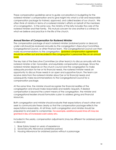These compensation guidelines serve to guide conversations in budgeting for the rostered minister's compensation and to give insight into what is a fair and reasonable compensation package for trained, approved, and called leaders of our church. We often think of ministry in terms of a rostered minister's efforts on behalf of the members of a congregation. In the same way, the ministry of the laity includes the care of the rostered minister and their family. This mutual concern for one another is a witness to what we believe and practice in the life of the church.

#### <span id="page-51-0"></span>*Annual Review of Compensation for Rostered Minister*

The compensation package of each rostered minister (ordained pastor or deacon) under call should be reviewed annually by the congregation's Executive Committee, Congregational Council, or other Finance team. The Congregational Council can then make recommendations to the congregation. Updated compensation agreements should be written out and recorded in the congregation's personnel files on an annual basis.

The key task of the Executive Committee (or other team) is to discuss annually with the rostered minister a fair, honorable, and equitable compensation package. Since the rostered minister depends on the church council and the congregation to make adequate provision for her or his financial needs, the rostered minister needs an opportunity to discuss those needs in an open and supportive forum. The team can receive data from the rostered minister about her or his financial needs and subsequently make recommendations to the Congregational Council for a compensation package. Proposed Compensation Guidelines<br>
2022 Assembly<br>
2022 Assembly<br>
10 budgeting for the<br>
1s a fair and reasonable<br>
1s behalf of the members<br>
1cludes the care of the<br>
canother is a witness to<br>
ed pastor or deacon)<br>
securive Co

At the same time, the minister should recognize the financial realities of the congregation and should make reasonable and realistic requests. If desired compensation is beyond the current means of the congregation, the minister and congregational leaders should formulate a plan to address giving and financial resources.

Both congregation and minister should evaluate their expectations of each other and seek to communicate these clearly so that the compensation package reflects the expectations reasonably. At all times, both congregation and minister should be prepared to and seek to compromise. For example, additional paid time off may be granted in lieu of increased cash salary etc.

Included in the yearly, compensation adjustments (may be different for ordained pastor vs deacon):

- 1. Base Salary based on years of experience
- 2. Social Security Allowance (ordained pastors)
- 3. Housing Allowance for ordained pastors without a parsonage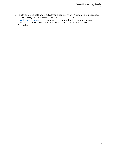4. Health and Medical Benefit adjustments consistent with \*Portico Benefit Services. Each congregation will need to use the Calculators found at [www.PorticoBenefits.org](http://www.porticobenefits.org/) to determine the amount of the rostered minister's benefits. You will need to have your rostered minister's birth date to calculate Portico Benefits. Proposed Compensation Guidelines<br>
2022 Assembly<br>
2016<br>
Continue Benefit Services.<br>
Interviewer of the content of the content of the content<br>
And date to calculate<br>
53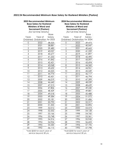# <span id="page-53-0"></span>*2023/24 Recommended Minimum Base Salary for Rostered Ministers (Pastors)*

| 2023 Recommended Minimum<br><b>Base Salary for Rostered</b><br><b>Ministers of Word and</b><br><b>Sacrament (Pastors)</b><br>(for full-time ministry) |                                                       |                                                                                                                           | 2024 Recommended Minimum |                                                       |        |       |         |        |       |         |        |
|-------------------------------------------------------------------------------------------------------------------------------------------------------|-------------------------------------------------------|---------------------------------------------------------------------------------------------------------------------------|--------------------------|-------------------------------------------------------|--------|-------|---------|--------|-------|---------|--------|
|                                                                                                                                                       |                                                       | <b>Base Salary for Rostered</b><br><b>Ministers of Word and</b><br><b>Sacrament (Pastors)</b><br>(for full-time ministry) |                          |                                                       |        |       |         |        |       |         |        |
|                                                                                                                                                       |                                                       |                                                                                                                           |                          |                                                       |        |       |         | Base   |       |         | Base   |
|                                                                                                                                                       |                                                       |                                                                                                                           |                          |                                                       |        | Years | Year of | Salary | Years | Year of | Salary |
|                                                                                                                                                       | Ordained Ordaination for 2023                         |                                                                                                                           |                          | Ordained Ordaination for 2024                         |        |       |         |        |       |         |        |
| 0                                                                                                                                                     | 2022                                                  | 38,325                                                                                                                    | 0                        | 2023                                                  | 39,475 |       |         |        |       |         |        |
| 1                                                                                                                                                     | 2021                                                  | 38,881                                                                                                                    | 1                        | 2022                                                  | 40,047 |       |         |        |       |         |        |
| $\overline{2}$                                                                                                                                        | 2020                                                  | 39,480                                                                                                                    | $\overline{2}$           | 2021                                                  | 40,665 |       |         |        |       |         |        |
| 3                                                                                                                                                     | 2019                                                  | 40,057                                                                                                                    | 3                        | 2020                                                  | 41,259 |       |         |        |       |         |        |
| 4                                                                                                                                                     | 2018                                                  | 40,677                                                                                                                    | 4                        | 2019                                                  | 41,897 |       |         |        |       |         |        |
| 5                                                                                                                                                     | 2017                                                  | 41,253                                                                                                                    | 5                        | 2018                                                  | 42,490 |       |         |        |       |         |        |
| 6                                                                                                                                                     | 2016                                                  | 41,842                                                                                                                    | 6                        | 2017                                                  | 43,097 |       |         |        |       |         |        |
| 7                                                                                                                                                     | 2015                                                  | 42,421                                                                                                                    | 7                        | 2016                                                  | 43,694 |       |         |        |       |         |        |
| 8                                                                                                                                                     | 2014                                                  | 43,068                                                                                                                    | 8                        | 2015                                                  | 44,360 |       |         |        |       |         |        |
| 9                                                                                                                                                     | 2013                                                  | 43,652                                                                                                                    | 9                        | 2014                                                  | 44,961 |       |         |        |       |         |        |
| 10                                                                                                                                                    | 2012                                                  | 44,223                                                                                                                    | 10                       | 2013                                                  | 45,549 |       |         |        |       |         |        |
| 11                                                                                                                                                    | 2011                                                  | 44,774                                                                                                                    | 11                       | 2012                                                  | 46,117 |       |         |        |       |         |        |
| 12                                                                                                                                                    | 2010                                                  | 45,431                                                                                                                    | 12                       | 2011                                                  | 46,794 |       |         |        |       |         |        |
| 13                                                                                                                                                    | 2009                                                  | 46,019                                                                                                                    | 13                       | 2010                                                  | 47,399 |       |         |        |       |         |        |
| 14                                                                                                                                                    | 2008                                                  | 46,640                                                                                                                    | 14                       | 2009                                                  | 48,039 |       |         |        |       |         |        |
| 15                                                                                                                                                    | 2007                                                  | 47,213                                                                                                                    | 15                       | 2008                                                  | 48,629 |       |         |        |       |         |        |
| 16                                                                                                                                                    | 2006                                                  | 47,806                                                                                                                    | 16                       | 2007                                                  | 49,240 |       |         |        |       |         |        |
| 17                                                                                                                                                    | 2005                                                  | 48,429                                                                                                                    | 17                       | 2006                                                  | 49,881 |       |         |        |       |         |        |
| 18                                                                                                                                                    | 2004                                                  | 49,018                                                                                                                    | 18                       | 2005                                                  | 50,488 |       |         |        |       |         |        |
| 19                                                                                                                                                    | 2003                                                  | 49,584                                                                                                                    | 19                       | 2004                                                  | 51,072 |       |         |        |       |         |        |
| 20                                                                                                                                                    | 2002                                                  | 50,181                                                                                                                    | 20                       | 2003                                                  | 51,686 |       |         |        |       |         |        |
| 21                                                                                                                                                    | 2001                                                  | 50,793                                                                                                                    | 21                       | 2002                                                  | 52,317 |       |         |        |       |         |        |
| 22                                                                                                                                                    | 2000                                                  | 51,355                                                                                                                    | 22                       | 2001                                                  | 52,896 |       |         |        |       |         |        |
| 23                                                                                                                                                    | 1999                                                  | 52,012                                                                                                                    | 23                       | 2000                                                  | 53,573 |       |         |        |       |         |        |
| 24                                                                                                                                                    | 1998                                                  | 52,552                                                                                                                    | 24                       | 1999                                                  | 54,128 |       |         |        |       |         |        |
| 25                                                                                                                                                    | 1997                                                  | 53,166                                                                                                                    | 25                       | 1998                                                  | 54,760 |       |         |        |       |         |        |
| 26                                                                                                                                                    | 1996                                                  | 53,748                                                                                                                    | 26                       | 1997                                                  | 55,361 |       |         |        |       |         |        |
| 27                                                                                                                                                    | 1995                                                  | 54,316                                                                                                                    | 27                       | 1996                                                  | 55,945 |       |         |        |       |         |        |
| 28                                                                                                                                                    | 1994                                                  | 54,954                                                                                                                    | 28                       | 1995                                                  | 56,603 |       |         |        |       |         |        |
| 29                                                                                                                                                    | 1993                                                  | 55,530                                                                                                                    | 29                       | 1994                                                  | 57,196 |       |         |        |       |         |        |
| 30                                                                                                                                                    | 1992                                                  | 56,115                                                                                                                    | 30                       | 1993                                                  | 57,798 |       |         |        |       |         |        |
|                                                                                                                                                       | *Add \$350 for each year of<br>service beyond 30 yrs. |                                                                                                                           |                          | *Add \$350 for each year of<br>service beyond 30 yrs. |        |       |         |        |       |         |        |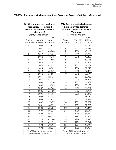## <span id="page-54-0"></span>*2023/24 Recommended Minimum Base Salary for Rostered Ministers (Deacons)*

| 2023 Recommended Minimum<br><b>Base Salary for Rostered</b><br><b>Ministers of Word and Service</b><br>(Deacons)<br>(for full-time ministry) |                             | 2024 Recommended Minimum<br><b>Base Salary for Rostered</b><br><b>Ministers of Word and Service</b><br>(Deacons)<br>(for full-time ministry) |                        |                             |                  |       |                               |             |       |                               |             |
|----------------------------------------------------------------------------------------------------------------------------------------------|-----------------------------|----------------------------------------------------------------------------------------------------------------------------------------------|------------------------|-----------------------------|------------------|-------|-------------------------------|-------------|-------|-------------------------------|-------------|
|                                                                                                                                              |                             |                                                                                                                                              |                        |                             |                  |       |                               | <b>Base</b> |       |                               | <b>Base</b> |
|                                                                                                                                              |                             |                                                                                                                                              |                        |                             |                  | Years | Year of                       | Salary      | Years | Year of                       | Salary      |
|                                                                                                                                              |                             |                                                                                                                                              |                        |                             |                  |       | Ordained Ordaination for 2023 |             |       | Ordained Ordaination for 2024 |             |
| $\mathbf 0$                                                                                                                                  | 2022                        | 45,643                                                                                                                                       | 0                      | 2022                        | 47,012           |       |                               |             |       |                               |             |
| 1                                                                                                                                            | 2021                        | 46,212                                                                                                                                       | 1                      | 2021                        | 47,598           |       |                               |             |       |                               |             |
| $\mathbf{2}$                                                                                                                                 | 2020                        | 46,766                                                                                                                                       | $\overline{2}$         | 2020                        | 48,169           |       |                               |             |       |                               |             |
| 3                                                                                                                                            | 2019                        | 47,451                                                                                                                                       | 3                      | 2019                        | 48,874           |       |                               |             |       |                               |             |
| 4                                                                                                                                            | 2018                        | 48,018                                                                                                                                       | 4                      | 2018                        | 49,458           |       |                               |             |       |                               |             |
| 5                                                                                                                                            | 2017                        | 48,589                                                                                                                                       | 5                      | 2017                        | 50,046           |       |                               |             |       |                               |             |
| 6<br>$\overline{7}$                                                                                                                          | 2016                        | 49,154                                                                                                                                       | 6<br>$\overline{7}$    | 2016                        | 50,629           |       |                               |             |       |                               |             |
|                                                                                                                                              | 2015                        | 49,812                                                                                                                                       |                        | 2015                        | 51,307           |       |                               |             |       |                               |             |
| 8<br>9                                                                                                                                       | 2014                        | 50,381                                                                                                                                       | 8<br>9                 | 2014                        | 51,893           |       |                               |             |       |                               |             |
| 10                                                                                                                                           | 2013<br>2012                | 50,949                                                                                                                                       | 10                     | 2013<br>2012                | 52,478           |       |                               |             |       |                               |             |
| 11                                                                                                                                           | 2011                        | 51,596<br>52,173                                                                                                                             | 11                     | 2011                        | 53,144<br>53,738 |       |                               |             |       |                               |             |
| 12                                                                                                                                           | 2010                        | 52,743                                                                                                                                       | 12                     | 2010                        | 54,325           |       |                               |             |       |                               |             |
| 13                                                                                                                                           | 2009                        | 53,310                                                                                                                                       | 13                     | 2009                        | 54,909           |       |                               |             |       |                               |             |
| 14                                                                                                                                           | 2008                        | 53,503                                                                                                                                       | 14                     | 2008                        | 55,108           |       |                               |             |       |                               |             |
| 15                                                                                                                                           | 2007                        | 54,564                                                                                                                                       | 15                     | 2007                        | 56,201           |       |                               |             |       |                               |             |
| 16                                                                                                                                           | 2006                        | 55,132                                                                                                                                       | 16                     | 2006                        | 56,786           |       |                               |             |       |                               |             |
| 17                                                                                                                                           | 2005                        | 55,701                                                                                                                                       | 17                     | 2005                        | 57,372           |       |                               |             |       |                               |             |
| 18                                                                                                                                           | 2004                        | 56,342                                                                                                                                       | 18                     | 2004                        | 58,032           |       |                               |             |       |                               |             |
| 19                                                                                                                                           | 2003                        | 56,635                                                                                                                                       | 19                     | 2003                        | 58,334           |       |                               |             |       |                               |             |
| 20                                                                                                                                           | 2002                        | 57,477                                                                                                                                       | 20                     | 2002                        | 59,201           |       |                               |             |       |                               |             |
| 21                                                                                                                                           | 2001                        | 58,121                                                                                                                                       | 21                     | 2001                        | 59,865           |       |                               |             |       |                               |             |
| 22                                                                                                                                           | 2000                        | 58,704                                                                                                                                       | 22                     | 2000                        | 60,465           |       |                               |             |       |                               |             |
| 23                                                                                                                                           | 1999                        | 59,271                                                                                                                                       | 23                     | 1999                        | 61,049           |       |                               |             |       |                               |             |
| 24                                                                                                                                           | 1998                        | 59,944                                                                                                                                       | 24                     | 1998                        | 61,742           |       |                               |             |       |                               |             |
| 25                                                                                                                                           | 1997                        | 60,527                                                                                                                                       | 25                     | 1997                        | 62,343           |       |                               |             |       |                               |             |
| 26                                                                                                                                           | 1996                        | 61,080                                                                                                                                       | 26                     | 1996                        | 62,913           |       |                               |             |       |                               |             |
| 27                                                                                                                                           | 1995                        | 61,691                                                                                                                                       | 27                     | 1995                        | 63,542           |       |                               |             |       |                               |             |
| 28                                                                                                                                           | 1994                        | 62,097                                                                                                                                       | 28                     | 1994                        | 63,960           |       |                               |             |       |                               |             |
| 29                                                                                                                                           | 1993                        | 62,871                                                                                                                                       | 29                     | 1993                        | 64,757           |       |                               |             |       |                               |             |
|                                                                                                                                              | *Add \$350 for each year of |                                                                                                                                              |                        | *Add \$350 for each year of |                  |       |                               |             |       |                               |             |
| service beyond 29 yrs.                                                                                                                       |                             |                                                                                                                                              | service beyond 29 yrs. |                             |                  |       |                               |             |       |                               |             |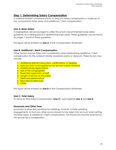# <span id="page-55-0"></span>**Step 1: Determining Salary Compensation**

A rostered minister's (ordained pastor or deacon) salary compensation is made up of two components: base salary and additional / merit compensation.

#### <span id="page-55-1"></span>*Line A: Base Salary*

Congregations are encouraged to utilize this synod's recommended base salary guidelines as a starting place in determining base salary. These guidelines can be found on pages 7 and 8 of these guidelines.

This figure will be entered on **Line A** of the Compensation Worksheet.

#### <span id="page-55-2"></span>*Line B: Additional / Merit Compensation*

Other factors may be taken into consideration when determining additional / merit compensation for the rostered minister (ordained pastor or deacon). These factors may include:

- 1. Additional relevant education, certifications, or degrees
- 2. Relevant prior work experience (ie second career ministers)
- 3. Additional job expectations
- 4. Size of the congregation
- 5. Expected supervision of staff
- 6. Length of service to the parish
- 7. Merit and performance
- 8. Educational debt load
- 9. Other

This figure will be entered on **Line B** of the Compensation Worksheet.

#### <span id="page-55-3"></span>*Line C: Total Salary*

To arrive at Total Salary Compensation (**Line C**), add together **Line A** and **Line B**

#### <span id="page-55-4"></span>*Honoraria and Other Fees*

Honoraria or other fees received for weddings, funerals, outside speaking engagements, or from any other source should *not* be taken into account when setting the base salary or additional / merit compensation**,** nor should any income received by the spouse be a consideration. Proposed Compensation Guidelines<br>
2022 Assembly<br>
2022 Assembly<br>
Densation is made up of<br>
equidelines can be found<br>
equidelines can be found<br>
sheet.<br>
ining additional / merit<br>
dacon). These factors may<br>
sheet.<br> **Line A** and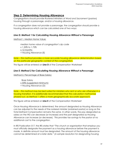# <span id="page-56-0"></span>**Step 2: Determining Housing Allowance**

Congregations should provide *Rostered Ministers of Word and Sacrament* (pastors) housing through a parsonage, and/or a housing allowance.

If a congregation does not provide a parsonage, the congregation should provide a housing allowance which can be calculated one of two ways:

#### <span id="page-56-1"></span>*Line D: Method 1 for Calculating Housing Allowance Without a Parsonage*

Method 1, Median Home Value:

median home value of congregation's zip code x 1.35% to 1.75% x 12 months = Housing Allowance (E)

*Note – this method provides a more accurate housing allowance determination based on the particular geographic context of the congregation.* 

This figure will be entered on **Line D** of the Compensation Worksheet

#### <span id="page-56-2"></span>*Line E: Method 2 for Calculating Housing Allowance Without a Parsonage*

Method 2, Percentage of Base Salary:

 Base Salary x 35% (suggested minimum) = Housing Allowance (D)

*Note – this method may be best suited for ministers who rent or who are otherwise in a housing transition. It is additionally recommended that this calculation method be phased out, as Method 1 offers a more geographically accurate approach.* 

This figure will be entered on **Line E** of the Compensation Worksheet

Once Housing Allowance is determined, the amount designated as Housing Allowance can be adjusted to the needs of the rostered minister (ordained pastor) *so long as the Total Defined Compensation remains the same*. In other words, the pay designated as salary on the W2 can decrease (or increase) and the part designated as Housing Allowance can increase (or decrease). This provides tax savings to the pastor at no additional cost to the congregation. Proposed Compensation Guidelines<br>
2022 Assembly<br>
32022 Assembly<br>
3322 Assembly<br>
5322 Assembly<br>
5322 Assembly<br>
5322 Assembly<br>
5322 Assembly<br>
5322 Assembly<br>
5322 Assembly<br>
5322 Assembly<br>
5322 Assembly<br>
5322 Assembly<br>
5322 As

In IRS Publication 517, the IRS states that "The church or organization that employs you must officially designate the payment as a housing allowance before the payment is made. A definite amount must be designated. The amount of the housing allowance cannot be determined at a later date." (*A sample resolution for designating housing*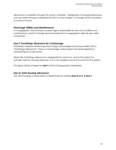*allowance is available through the synod's website).* Designation of housing allowance can be made through a separate line item on the budget, or through action recorded in council minutes. Proposed Compensation Guidelines<br>
2022 Assembly<br>
tion of housing allowance<br>
through action recorded<br>
ne cost of utilities and<br>
ne cost of utilities and<br>
ne cost of utilities and<br>
ne same expense in<br>
d to the extent it is<br>

#### <span id="page-57-0"></span>*Parsonage Utilities and Maintenance*

A congregation that provides a parsonage is responsible for the cost of utilities and maintenance, and it is strongly recommended that congregations directly pay utility companies.

#### <span id="page-57-1"></span>*Line F: Furnishings Allowance for a Parsonage*

Ordained, rostered ministers (pastors) living in parsonages may be provided with a "furnishings allowance." Even in a parsonage, every pastor has some expense in maintaining his or her home.

When the furnishings allowance is designated in advance, and to the extent it is actually used for housing expenses, it is a non-taxable source of income for the pastor**.**

This figure will be entered on **Line F** of the Compensation Worksheet

#### <span id="page-57-2"></span>*Line G: Total Housing Allowance*

The total housing compensation is determined by adding **lines D or E**, **or line F.**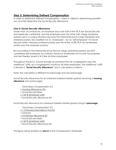## <span id="page-58-0"></span>**Step 3: Determining Defined Compensation**

In order to determine Defined Compensation – which is utilized in determining benefits – you must first determine the Social Security Allowance.

#### <span id="page-58-1"></span>*Line H: Social Security Allowance*

Under most circumstances, an employer pays one half of the FICA tax (Social Security and Medicare combined), and the employee pays the other half. Clergy (ordained pastors) are in a unique situation because the Internal Revenue Code mandates that ordained pastors are classified not as 'employees', but as 'self-employed' for Social Security taxes, meaning ordained pastors pay the entire 15.3% FICA tax (employee portion plus the employer portion). Proposed Compensation Guidelines<br>
2022 Assembly<br>
2022 Assembly<br>
1 In determining benefits -<br>
FICA tax (Social Security<br>
Inc. Clergy (ordained that<br>
Femployed' for Social<br>
FICA tax (employee<br>
Inc. FICA tax (employee<br>
Inc. F

But according to the Internal Revenue Service clergy (ordained pastors) are NOT considered self-employed, but instead viewed as employees for income tax purposes and are thereby issued a W-2 like all other employees.

Throughout the ELCA, Synods strongly recommend that all congregations pay the additional 7.65%, as a congregation would for all other employees. This additional 7.65% is termed a "**Social Security Allowance"** and is calculated as follows:

Note: the calculation is different for parsonage and non-parsonage.

Social Security Allowance for an *ordained* rostered minister (pastor) receiving a **housing allowance** (non-parsonage):

 Total Salary Compensation (C) + Housing Allowance (G) = Social Security Base x 7.65 % (employer rate) = Social Security Allowance (H)

Social Security Allowance for *ordained* rostered minister (pastor) living in **parsonage**:

 Total Salary Compensation (C) x 1.3 (Housing Equivalency Factor) = Subtotal + Furnishings Allowance (F) = Social Security Base x 7.65 % (employer rate) = Social Security Allowance (H)

This figure will be entered on **Line H** of the Compensation Worksheet.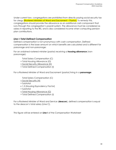Under current law, congregations are prohibited from directly paying social security tax for clergy (Rostered Ministers of Word and Sacrament – Pastor). To remedy this, congregations should provide the allowance as an additional cash component that runs through the congregation's payroll system. The allowance must be considered as salary in reporting to the IRS, and is also considered income when computing pension plan contributions. Proposed Compensation Guidelines<br>
2022 Assembly<br>
2022 Assembly<br>
Dia cready this,<br>
Lacsh component that<br>
I cash component that<br>
then computing pension<br>
ation. Defined<br>
ation. Defined<br>
and is different for<br> **allowance** (non-

#### <span id="page-59-0"></span>*Line I: Total Defined Compensation*

Defined compensation is not synonymous with cash compensation. Defined compensation is the base amount on which benefits are calculated and is different for parsonage and non-parsonage:

For an *ordained* rostered minister (pastor) receiving a **housing allowance** (nonparsonage):

Total Salary Compensation (C)

- + Total Housing Allowance (G)
- + Social Security Allowance (H)
- = Total Defined Compensation (I)

For a Rostered Minister of Word and Sacrament (pastor) living in a **parsonage**:

Total Salary Compensation (C)

+ Social Security (H)

= Subtotal

- x 1.3 (Housing Equivalency Factor)
- = Subtotal
- + Total Housing Allowance (G)
- = Total Defined Compensation (I)

For a Rostered Minister of Word and Service (**deacon**), defined compensation is equal to the deacon's total salary (Line C).

This figure will be entered on **Line I** of the Compensation Worksheet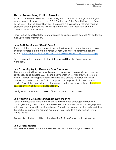# <span id="page-60-0"></span>**Step 4: Determining Portico Benefits**

ELCA associated employers and those recognized by the ELCA as eligible employers may sponsor their employees in the ELCA Pension and Other Benefits Program offered by the ELCA – Portico Benefit Services. The program is available to rostered ministers (pastor or deacon) scheduled to work **15** or more hours per week for 6 or more consecutive months per year.

For all Portico benefits related information and questions, please contact Portico for the most up-to-date information.

#### <span id="page-60-1"></span>*Lines J – N: Pension and Health Benefits*

Because of the variety and complexity of factors involved in determining healthcare and benefit rates, please use the Portico Benefit Calculator to determine benefit figures: [\(https://employerlink.porticobenefits.org/Home/Resources/Calculators.aspx\)](https://employerlink.porticobenefits.org/Home/Resources/Calculators.aspx).

These figures will be entered into **lines J, K, L, M, and N** on the Compensation Worksheet.

#### <span id="page-60-2"></span>*Line O: Housing Equity Allowance for a Parsonage*

It is recommended that congregations with a parsonage also provide for a housing equity allowance equal to 3% of defined compensation for their *ordained* rostered minister (pastor). Housing equity should not be paid directly to pastor, but rather invested in a Portico account for that purpose.The purpose of this allowance is to provide financial resources for a pastor to purchase housing upon retirement and/or as descried by Portico policy or applicable law. Proposed Compensation Guidelines<br>
2022 Assembly<br>
2022 Assembly<br>
A as eligible employers<br>
Benefits Program offered<br>
le to rostered ministers<br>
eek for 6 or more<br>
se contact Portico for the<br>
se contact Portico for the<br>
leterm

This figure will be entered on **Line O** of the Compensation Worksheet

#### <span id="page-60-3"></span>*Line P: Waiving Coverage and Health Waiver Bonus*

Sometimes a rostered minister may elect to waive Portico coverage and receive coverage through their partner's health benefit plan. In these cases, the congregation is strongly encouraged to provide a Waiver Bonus to the rostered minister to help defray the cost of insurance. The rostered minister will also need to provide Portico with a signed waiver.

If applicable, this figure will be entered on **Line P** of the Compensation Worksheet

#### <span id="page-60-4"></span>*Line Q: Total Benefits*

Add **lines J – P** to arrive at the total benefit cost, and enter this figure on **Line Q.**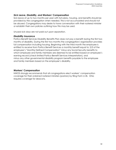#### <span id="page-61-0"></span>*Sick Leave, Disability, and Workers' Compensation*

Sick leave of up to two months per year with full salary, housing, and benefits should be provided by the congregation when needed. This is not accumulated and should not be abused. Congregations may desire to have conversation with their rostered minister or establish their own policies outlining how this may be used.

Unused sick days are not paid out upon separation.

#### <span id="page-61-1"></span>*Disability Insurance*

Portico Benefit Services Disability Benefits Plan does not pay a benefit during the first two months of disability. During the first two months the congregation/ organization provides full compensation including housing. Beginning with the third month the employee is entitled to receive from Portico Benefit Services a monthly benefit equal to: 2/3 of the employee's "Monthly Defined Compensation" minus any Social Security benefits to which employee and family members are deemed to be entitled based on employee's earning record (check limited Portico Benefit Services interpretation), and minus any other governmental disability program benefits payable to the employee and family members based on the employee's disability. Proposed Compensation Guidelines<br>
2022 Assembly<br>
2022 Assembly<br>
2022 Assembly<br>
42 Assembly<br>
52 Proposed Containster<br>
52 Proposed Containster<br>
52 Proposed Containster<br>
10 Proposes in Security benefits to<br>
10 Becurity benefi

#### <span id="page-61-2"></span>*Workers' Compensation*

NWOS strongly recommends that all congregations elect workers' compensation coverage for their *ordained* rostered ministers (pastors) by filing Form U-3S. Ohio requires coverage for deacons.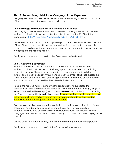# <span id="page-62-0"></span>**Step 5: Determining Additional Congregational Expenses**

Congregations should cover additional expenses that are integral to the job functions of the rostered minister (ordained pastor or deacon).

#### <span id="page-62-1"></span>*Line R: Mileage Reimbursement and Automobile Expenses*

The congregation should reimburse miles traveled in carrying out duties as a rostered minister (ordained pastor or deacon) at the rate allowed by the IRS (Check IRS guidelines at: [http://www.irs.gov/taxpros/article/0..id=156624.00.html\)](http://www.irs.gov/taxpros/article/0..id=156624.00.html).

The rostered minister should submit a signed report monthly to the responsible financial officer of the congregation. Under the new tax law, it is important that automobile expenses be paid on a reimbursement basis as a flat sum automobile allowance will be fully taxable to the rostered minister.

This figure will be entered on **Line R** of the Compensation Worksheet.

#### <span id="page-62-2"></span>*Line S: Continuing Education*

It is the expectation of the ELCA and the Northwestern Ohio Synod that every rostered minister (ordained pastor or deacon) will engage in at least **50 hours** of continuing education per year. This continuing education is intended to benefit both the rostered minister and the congregation through ongoing development of biblical/theological understanding and ministry skills. Continuing education time is not to be regarded as vacation, nor should it be used by the rostered minister for vacation.

To assist the rostered minister in meeting this expectation, it is suggested that congregations provide a continuing education reimbursement of at least **\$1,200** (with expenditures verified by receipts), and at least **two weeks** (a total of 14 days including two Sundays) **accruable for up to three years**. Rostered Ministers should annually report to their council, their used and unused continuing education days. This should be maintained in the congregation's personnel records. 63 Proposed Compensation Guidelines

Continuing education may range from a single day seminar to enrollment in a formal program at an educational institution. Scheduling of continuing education opportunities should be determined by the rostered leader in consultation with the congregation's staff support team (Mutual Ministry Committee) and the congregational council.

Unused continuing education days or allowances are not paid out upon separation.

This figure will be entered on **Line S** of the Compensation Worksheet.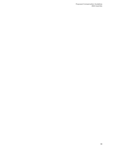Proposed Compensation Guidelines<br>2022 Assembly<br>64 Proposed Compensation Guidelines<br>2022 Assembly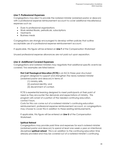#### <span id="page-64-0"></span>*Line T: Professional Expenses*

Congregations may elect to provide the rostered minister (ordained pastor or deacon) with a professional expense reimbursement account to cover additional miscellaneous expenses such as:

- Dues to professional organizations
- Work related Books, periodicals, subscriptions
- Vestments
- Business meals

Congregations are strongly encouraged to develop written policies that outline acceptable use of a professional expense reimbursement account.

If applicable, this figure will be entered on **Line T** of the Compensation Worksheet

Unused professional expense allowances are not paid out upon separation.

#### <span id="page-64-1"></span>*Line U: Additional Covered Expenses*

Congregations and rostered ministers may negotiate that additional specific events be covered. Two examples are listed below:

**First Call Theological Education (FCTE)** is an ELCA three-year structured program designed to support and strengthen the newly rostered minister (ordained pastor and deacon) in terms of:

- (1) ministry skills,
- (2) pastoral identity; and
- (3) discernment of context.

FCTE is experiential learning designed to meet participants at their point of need as they encounter the demands and expectations of ministry. This program will consist of a portion of the needed continuing education, contact hours.

Costs for this can come out of a rostered minister's continuing education reimbursement, professional expense reimbursement account, or congregations may choose to cover this in addition to these existing reimbursements.

If applicable, this figure will be entered on **Line U** of the Compensation Worksheet.

#### **Spiritual Retreat**

Congregations may provide paid time and expenses for each rostered minister (ordained pastor and deacon) to spend at least one week a year on intentional, disciplined **spiritual retreat**. This is an addition to the continuing education time already provided and may be covered out of a rostered minister's continuing Proposed Compensation Guidelines<br>
2022 Assembly<br>
diaried pastor or deacon)<br>
additional miscellaneous<br>
additional miscellaneous<br>
point.<br>
Proposed Compensation.<br>
Final specific events be<br>
year structured<br>
y rostered minister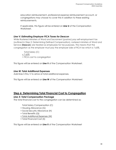education reimbursement, professional expense reimbursement account, or congregations may choose to cover this in addition to these existing reimbursements.

If applicable, this figure will be entered on **Line U** of the Compensation Worksheet.

#### <span id="page-65-0"></span>*Line V: Estimating Employer FICA Taxes for Deacon*

While Rostered Ministers of Word and Sacrament (pastors) pay self-employment tax (outlined in Step 2: Determining Defined Compensation), rostered ministers of Word and Service (**Deacon**) are treated as employees for tax purposes. This means that the congregation as the employer must pay the employer side of FICA tax which is 7.65%. Proposed Compensation Guidelines<br>
2022 Assembly<br>
Ursement account, or<br>
these existing<br>
Compensation<br>
In section<br>
FICA tax which is 7.65%.<br>
Sheet.<br>
Sheet.<br>
Richard Compensation<br>
Sheet.<br>
Richard Compensation<br>
Sheet.<br>
Sheet a

 Total Salary (C) x 7.65% = FICA cost to congregation

This figure will be entered on **Line V** of the Compensation Worksheet.

#### <span id="page-65-1"></span>*Line W: Total Additional Expenses*

Add lines S thru V to arrive at total additional expenses.

This figure will be entered on **Line W** of the Compensation Worksheet.

## <span id="page-65-2"></span>**Step 6: Determining Total Financial Cost to Congregation**

#### <span id="page-65-3"></span>*Line X: Total Compensation Package*

The total financial cost to the congregation can be determined as:

Total Salary Compensation (C)

- + Housing Allowance (G)
- + Social Security Allowance (H)
- + Total Benefits (Q)
- + Total Additional Expenses (W)
- = Total Financial Cost (X)

This figure will be entered on **Line X** of the Compensation Worksheet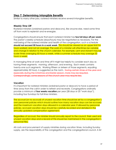# <span id="page-66-0"></span>**Step 7: Determining Intangible Benefits**

Similar to many other jobs, rostered ministers receive several intangible benefits.

#### <span id="page-66-1"></span>*Weekly Time Off*

Rostered ministers (ordained pastors and deacons), like anyone else, need some time off from work to replenish and re-energize.

Congregations should ensure that each rostered minister has **two full days off per week**. The pastor's weekly schedule (days/hours) may be negotiated as necessary. For the well-being of the rostered minister and health of the congregation, such a schedule **should not exceed 50 hours in a work week**. This should be viewed as an upper limit for hours worked, and not an average. The work of a minister will oftentimes be variable and change in relation to the church calendar. For example, Lent and Advent may be busier times averaging 50 hours a week, while a summer schedule may average 30 hours a week. Proposed Compensation Guidelines<br>
2022 Assembly<br>
2022 Assembly<br>
tanglible benefits.<br>
as necessary. For the<br>
dis necessary. For the<br>
dis necessary. For the<br>
dis necessary. For the<br>
discursion of the variable<br>
Lent and Adven

In managing time at work and time off it might be helpful to consider each day as having three segments: morning, afternoon, and evening. Each week contains twenty-one such segments. Working fifteen or sixteen of those segments, equaling approximately 50 hours, is suggested as the norm. <del>During certain times of the year and</del> especially during the Christmas and Easter season, more may be required. Correspondingly, some seasons of the church year may require less.

#### <span id="page-66-2"></span>*Vacation*

It is important for rostered ministers (ordained pastor or deacon) to have a period of time away from the call-in order to refresh and recreate. Congregations ordinarily provide a minimum of **four weeks vacation** per year (28 days or 20 "work days"), including four Sundays for full-time ministers.

The accrual (or no accrual) of unused vacation time should be set by a congregation's own personnel policies which should outline how many vacation days can be accrued and the maximum vacation days allowed in a calendar year. If allowed by personnel policies, accrued vacation days should be carefully recorded and detailed in the annually updated compensation agreement.

Regardless of accrual, the minister should annually report to the council, their used and unused vacation days and a record of this should be maintained in the congregation's personnel files.

All costs and procurement of supply ministries during vacation times, including Sunday supply, are the responsibility of the congregation and the congregational council. A list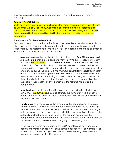of available pulpit supply may be secured from the synod web site [\(www.nwos](http://www.nwos-elca.org/)[elca.org\)](http://www.nwos-elca.org/).

#### <span id="page-67-0"></span>*Deferred Paid Holidays*

Rostered ministers ordinarily work on holidays that many secular workers have off, such as Christmas Eve or Good Friday. Congregations should provide a "deferred paid holiday" that allows the minister additional time off without depleting vacation time. These deferred holidays should be listed in the annually-updated compensation agreement.

#### <span id="page-67-1"></span>*Family Leave (Maternity/Parental)*

The church places a high value on family, and congregations should offer family leave when appropriate. These guidelines are offered to help congregations approach situations requiring maternal/parental/family leave in a caring manner and apply for all rostered ministers (ordained pastor and deacon):

**Maternal/ paternal leave** following the birth of a child – *Eight (8) weeks* of paid *maternity leave* should be available to mothers immediately following the birth of a child. *Five (5) weeks* of paid *paternal leave* is recommended for a father immediately after the birth of a child. The needs of each rostered minister and congregation may vary. It is recommended that the congregation pay full salary and benefits during this time. At a minimum, full benefits for the rostered minister should be maintained during a maternity or parental leave. Some factors that may be considered in determining salary and benefits during such a leave are the rostered minister's length of service with the congregation, vacation time available, housing costs, and the hardship to the rostered minister or the congregation. Proposed Compensation Guidelines<br>
2022 Assemby<br>
2022 Assemby<br>
2022 Assemby<br>
2022 Assemby<br>
2022 Assemby<br>
2022 Assemby<br>
2022 Assemby<br>
2022 Assemby<br>
2022 Assemby<br>
2022 Assemby<br>
2022 Assemby<br>
50222 Assemby<br>
50222 Assemby<br>
5022

**Adoption leave** should be offered to parents who are adopting children. A minimum of *five (5) weeks* should be offered. The number of weeks of leave before and after the adoption should be specified in advance, and with mutual discussion with the pastor.

**Family leave** at other times may be granted by the congregation. There are times in our lives when leave is needed for families. Examples would be during times of severe illness, trauma, or death of a child, spouse or parent. The length of the leave and the salary and benefits which the congregation will provide the rostered minister should be negotiated by the rostered minister and the congregation. It is recommended that the congregation, at a minimum, provide full benefits for the rostered minister during any family leave granted.

In the event a sponsored member of the ELCA benefits program is unable to perform the material duties of her or his normal occupation for any employer as a direct result of injury or physical or mental disorder resulting in disability, the member is covered by disability benefits.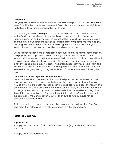#### <span id="page-68-0"></span>*Sabbatical*

Congregations may offer their rostered minister (ordained pastor or deacon) **sabbatical**  leave for spiritual and professional renewal. Typically, rostered ministers are eligible for a sabbatical after serving a congregation for 6 years.

Usually lasting **12 weeks in length**, sabbaticals are intended to sharpen the rostered minister's skills and to refresh both spiritual life and a sense of calling. The request, specific description and purpose of the sabbatical leave is ordinarily submitted to and approved by the Congregational Council at least six months prior to the time it begins. Congregations might want to include in the budget and accrue funds each year toward the sabbatical (so costs might be spread over several years).

During sabbatical leave, the congregation continues to provide normal compensation, and pays for pulpit supply and related congregational ministerial expenses. The rostered minister is responsible for expenses related to the sabbatical such as additional living expenses, tuition, books, and supplies. Normal vacation time may be used to extend the sabbatical leave. A report of his/her sabbatical activities is to be submitted to the church council. A rostered minister taking a sabbatical is expected to continue to serve the congregation granting the sabbatical for at least one year following the leave.

#### <span id="page-68-1"></span>*Churchwide and/or Synodical Commitment*

There are times when a rostered minister (ordained pastor or deacon) may be called upon to serve in ways that take her/him beyond the congregation. Examples may include church-related activities such as serving as a Bible study leader or chaplain at a church camp, on a syndical or ELCA committee or task force, or short-term teaching at a college or seminary. In any case, this "extended ministry" should be fully negotiated through the congregation's staff support team (Mutual Ministry Committee) and with the approval of the Congregation Council. Such outside ministry should not be considered as vacation time. 69 Proposed Compensation Guidelines

Rostered ministers are constitutionally required to attend the Northwestern Ohio Synod assembly when held, along with voting members from the congregation.

# <span id="page-68-2"></span>**Pastoral Vacancy**

#### <span id="page-68-3"></span>*Supply Pastor*

A supply pastor is one who fills in one Sunday at a time (e.g., while the pastor is on vacation).

A supply pastor ordinarily receives: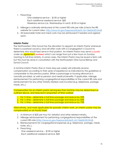1. Preaching:

 One weekend service -- \$150 or higher Each additional weekend service--\$50 Weekday service (i.e. Wednesdays in Lent)--\$150 or higher

- 2. Mileage is ordinarily reimbursed at the current IRS rate per mile (check the IRS website for current rates: [http://www.irs.gov/taxpros/article/0..id=156624.00.html\)](http://www.irs.gov/taxpros/article/0..id=156624.00.html)
- 3. All reasonable hotel and meal costs may be reimbursed if needed and agreed upon.

#### <span id="page-69-0"></span>*Interim Pastor*

The Northwestern Ohio Synod has the discretion to appoint an Interim Pastor whenever there is a pastoral vacancy and will often work with a Congregation's Council to determine who would best serve in that position. An Interim Pastor may serve is usually under an **agreement** contract which can range from just a few hours on Sunday morning to full-time ministry. In some cases, the Interim Pastor may be issued a term call, but this must be done in consultation with the Northwestern Ohio Synod Bishop and Synod Council. Proposed Compensation Guidelines<br>
2022 Assembly<br>
2022 Assembly<br>
2022 Assembly<br>
2022 Assembly<br>
2022 Assembly<br>
2022 Assembly<br>
2022 Assembly<br>
2022 Assembly<br>
2022 Assembly<br>
2022 Assembly<br>
2022 Assembly<br>
2022 Assembly<br>
2022 Ass

A full-time Interim Pastor (five or more days per week) will ordinarily receive compensation according to their years of experience as indicated by the guidelines or comparable to the previous pastor. Either a parsonage or housing allowance is normally provided, as well as pension and medical benefits, if applicable, mileage reimbursement for performing congregational responsibilities at the current IRS rate and reimbursement for any other ministry related costs incurred (e.g. telephone, postage, meals, etc.).

Compensation for an interim pastor serving less than full-time may be determined as outlined above, and reduced in proportion of time worked:

- 1. For ¾ time determine a full-time package and reduce by 25%
- 2. For  $\frac{1}{2}$  time determine a full-time package and reduce by 50%
- 3. For  $\frac{1}{4}$  time determine a full-time package and reduce by 75%

Alternatively, and more applicable for sporadic interim work, an Interim pastor may be compensated on an hourly basis:

- 1. A minimum of \$35 per hour for visitation and other related ministry,
- 2. Mileage reimbursement for performing congregational responsibilities at the current IRS rate [\(http://www.irs.gov/taxpros/article/0..id=156624.00.html\)](http://www.irs.gov/taxpros/article/0..id=156624.00.html),
- 3. Reimbursements for congregational expenses (e.g. telephone, postage, meals, hotel, etc.),
- 4. Preaching:

 One weekend service -- \$150 or higher Each additional weekend service--\$50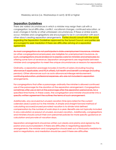Weekday service (i.e. Wednesdays in Lent)--\$150 or higher

## <span id="page-70-0"></span>**Separation Guidelines**

There are varied circumstances in which a minister may resign their call with a congregation: local difficulties, conflict, vocational changes, continued education, or even changes in family or other unforeseen circumstances. If these or similar events occur, ministers and congregations are encouraged to be in conversation with each other about creating separation arrangements. Parties should consult with the synod regarding the Separation Guidelines approved by the Synod Council, and parties are encouraged to seek mediation if there are difficulties arriving at a separation agreement. Proposed Compensation Guidelines<br>
2022 Assembly<br>
2022 Assembly<br>
2022 Assembly<br>
2022 Assembly<br>
2022 Assembly<br>
2022 Assembly<br>
2022 Assembly<br>
2022 Assembly<br>
2022 Assembly<br>
2022 Assembly<br>
2022 Assembly<br>
2022 Assembly<br>
2022 Ass

As most congregations do not participate in state unemployment insurance, ministers (or other congregational employees) are ineligible for unemployment insurance. As such, congregations should endeavor to express care for ministers and employees by offering some form of severance. Separation arrangements are negotiable between minister and congregation to meet the unique circumstances or reasons for separation.

Ordinarily, a separation package includes 3 months of salary (including housing allowance if applicable, and FICA offset), full health and benefit coverage (including pension). Other allowances such as auto allowance/mileage reimbursement, continuing education, professional expenses, etc are not included in separation arrangements.

For congregations that offer a parsonage, ordinarily the minister is allowed continued use of the parsonage for the duration of the separation arrangement. Congregations sometimes offer use or rent of the parsonage after the separation period ends, for a specified time frame. In these cases, the congregation and minister should enter into a specific written agreement the outlines the terms of such arrangement.

Additionally, any accrued but unused vacation time (pro-rated for the current calendar year) is paid out to the minister. A simple and straight-forward method of calculating accrued/unused pro-rated vacation is to divide total defined compensation by the number of work days in a year. Benefits are not typically included in any calculation or payout of unused, accrued vacation. Additionally, congregations and ministers should consult their own personnel policies for more specific guidance on calculation and pro-rate of vacation days.

Separation arrangements should be written out clearly and plainly and signed by the pastor and council president. If there are difficulties in negotiating separation arrangements, the minister and congregation should seek out a third-party mediator to assist in negotiations, and mediation should be used if there are difficulties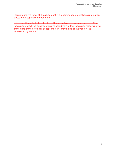interpretating the terms of the agreement. It is recommended to include a mediation clause in the separation agreement.

In the event the minister is called to a different ministry prior to the conclusion of the separation period, the congregation is released from further separation responsibility as of the date of the new call's acceptance. This should also be included in the separation agreement. Proposed Compensation Guidelines<br>
2022 Assembly<br> **1.5 include a mediation<br>
the conclusion of the<br>
sparation responsibility as<br>
included in the<br>
responsibility as<br>
responsibility<br>
responsibility<br>
responsibility<br>
responsibil**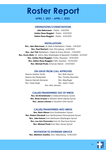# **Roster Report**

**APRIL 1, 2021 - APRIL 1, 2022**

## **ORDINATIONS/CONSECRATIONS**

**Jake Nekoranec** - Pastor - 5/8/2021 **Ashley Rosa-Ruggieri** - Pastor - 9/12/2021 **Dalton Rosa-Ruggieri** - Pastor - 9/12/2021

#### **INSTALLATIONS**

**Rev. Jake Nekoranec**, St. Mark & Bethlehem, Toledo - 5/8/2021 **Rev. Paul Reichert**, Zoar, Perrysburg - 5/29/2021 **Rev. Jaci Tiell**, Bethlehem, Toledo & Grace, Elmore - 7/22/2021 **Rev. Kevin Mohr**, St. John's, New Washington & Nazareth, Chatfield - 8/1/2021 **Rev. Ashley Rosa-Ruggieri**, Trinity, Wauseon - 9/22/2021 **Rev. Dalton Rosa-Ruggieri**, Faith, Swanton - 10/13/2021 **Rev. Michael Poole**, Emanuel, Marion - 2/20/2022

## **ON LEAVE FROM CALL APPROVED**

Deacon Heather Smith Deacon Erin Bodenstab Deacon Hannah Demaree Rev. Clyde Singh

Rev. Beth Huener Rev. Timothy Reynolds Rev. Meg Boger Rev. Adam Taylor Rev. Rob Johnson

## **CALLED/TRANSFERRED OUT OF NWOS**

**Rev. Ed Strietelmeier** to Indiana/Kentucky Synod **Rev. Brian Krause** to Western North Dakota Synod **Rev. James Lehman** to Southern Ohio Synod

### **CALLED/TRANSFERRED INTO NWOS**

**Rev. Barb Gibson** from Southeastern Synod **Rev. Robert Ohrstedt** from Northwestern Pennsylvania Synod **Rev. Julie Hutson** from Northwest Washington Synod **Rev. Lee Ann Pomrenke** from St. Paul Area Synod **Rev. Michael Poole** from New Jersey Synod

#### **INVITATION TO EXTENDED SERVICE**

**Rev. Matthew Zuehlke**, Zion, Gibsonburg - 6/30/2021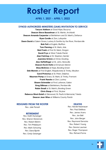# **Roster Report**

**APRIL 1, 2021 - APRIL 1, 2022**

## **SYNOD AUTHORIZED MINISTERS (SAM) INVITATION TO SERVICE**

**Tanyce Addison** at Good Hope, Bucyrus **Deacon Steve Basselman** at St. Martin, Archbold **Deacon Amanda Carpenter** at Bethlehem and St. Mark's, Defiance **Ryan Cordle** at Zion, Lafayette **Dawn David** at Salem Grace, Luckey & Sonfire by the River, Pemberville **Bob Fett** at English, Bluffton **Tom Fleming** at St. Mark, Ada **Bob Frank** at First St. Mark, Oregon **David Frye** at West Toledo Parish **Alan Fuhrhop** at St. Stephen, Hamler **Jeannine Grimm** at Christ, Dowling **Alex Heffelfinger** at St. John, Hicksville **Deacon Kevin Kehn** at Emanuel, Marion **Shea McGrew** at Hope, Bowling Green **Deb Monnin** at First English, Wapakoneta & Trinity, Moulton **Carol Pretorius** at St. Peter, Delphos **Maureen Pump** at Grace, St. Mark, & Trinity, Fremont **Frank Raeske** at Zion, Luckey **Shawn Schneider** at First Lutheran, Galion **Greg Silliman** at Bethlehem, Pemberville **Robin Small** at St. Mark's, Bowling Green **Chris Staup** at First, Stryker **Rebecca West-Estell** at Glenwood, St. Paul's & Memorial, Toledo **Deacon Jean Wise** at Williams County Parish

### **RESIGNED FROM THE ROSTER**

Rev. Julie Parsell

#### **RETIREMENT**

Rev. Keith Hunsinger Rev. Sharon Stonerock Rev. Robert Blohm Rev. Tim Philabaum Rev. Mark Schuring Rev. Dana Bjorlin Rev. Cindy Getzinger

#### **DEATHS**

Rev. Harold Hasenauer Rev. Paul DeMoss Rev. James Avers Rev. Jon Bell Rev. John Berger Rev. Raymond Serocka Rev. Robert Young Rev. Dennis Lauman Rev. Roger Thompson Rev. Richard Ferne

74